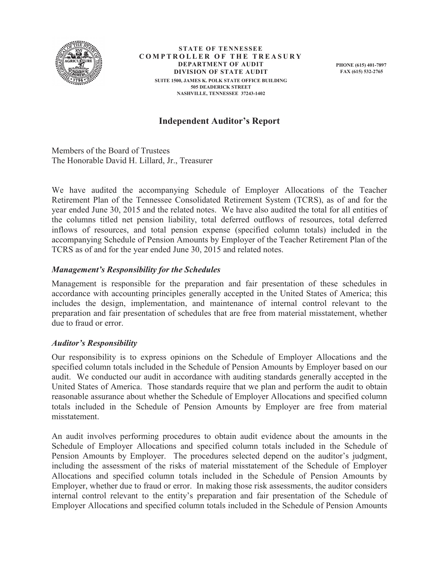

**STATE OF TENNESSEE C O M P T R O L L E R O F T H E T R E A S U R Y DEPARTMENT OF AUDIT DIVISION OF STATE AUDIT SUITE 1500, JAMES K. POLK STATE OFFICE BUILDING 505 DEADERICK STREET NASHVILLE, TENNESSEE 37243-1402** 

**PHONE (615) 401-7897 FAX (615) 532-2765** 

# **Independent Auditor's Report**

Members of the Board of Trustees The Honorable David H. Lillard, Jr., Treasurer

We have audited the accompanying Schedule of Employer Allocations of the Teacher Retirement Plan of the Tennessee Consolidated Retirement System (TCRS), as of and for the year ended June 30, 2015 and the related notes. We have also audited the total for all entities of the columns titled net pension liability, total deferred outflows of resources, total deferred inflows of resources, and total pension expense (specified column totals) included in the accompanying Schedule of Pension Amounts by Employer of the Teacher Retirement Plan of the TCRS as of and for the year ended June 30, 2015 and related notes.

## *Management's Responsibility for the Schedules*

Management is responsible for the preparation and fair presentation of these schedules in accordance with accounting principles generally accepted in the United States of America; this includes the design, implementation, and maintenance of internal control relevant to the preparation and fair presentation of schedules that are free from material misstatement, whether due to fraud or error.

## *Auditor's Responsibility*

Our responsibility is to express opinions on the Schedule of Employer Allocations and the specified column totals included in the Schedule of Pension Amounts by Employer based on our audit. We conducted our audit in accordance with auditing standards generally accepted in the United States of America. Those standards require that we plan and perform the audit to obtain reasonable assurance about whether the Schedule of Employer Allocations and specified column totals included in the Schedule of Pension Amounts by Employer are free from material misstatement.

An audit involves performing procedures to obtain audit evidence about the amounts in the Schedule of Employer Allocations and specified column totals included in the Schedule of Pension Amounts by Employer. The procedures selected depend on the auditor's judgment, including the assessment of the risks of material misstatement of the Schedule of Employer Allocations and specified column totals included in the Schedule of Pension Amounts by Employer, whether due to fraud or error. In making those risk assessments, the auditor considers internal control relevant to the entity's preparation and fair presentation of the Schedule of Employer Allocations and specified column totals included in the Schedule of Pension Amounts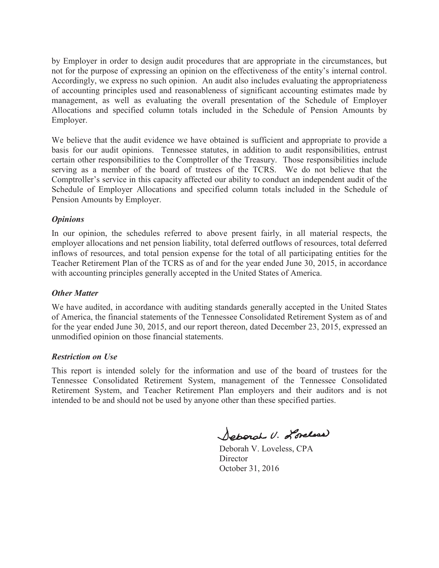by Employer in order to design audit procedures that are appropriate in the circumstances, but not for the purpose of expressing an opinion on the effectiveness of the entity's internal control. Accordingly, we express no such opinion. An audit also includes evaluating the appropriateness of accounting principles used and reasonableness of significant accounting estimates made by management, as well as evaluating the overall presentation of the Schedule of Employer Allocations and specified column totals included in the Schedule of Pension Amounts by Employer.

We believe that the audit evidence we have obtained is sufficient and appropriate to provide a basis for our audit opinions. Tennessee statutes, in addition to audit responsibilities, entrust certain other responsibilities to the Comptroller of the Treasury. Those responsibilities include serving as a member of the board of trustees of the TCRS. We do not believe that the Comptroller's service in this capacity affected our ability to conduct an independent audit of the Schedule of Employer Allocations and specified column totals included in the Schedule of Pension Amounts by Employer.

### *Opinions*

In our opinion, the schedules referred to above present fairly, in all material respects, the employer allocations and net pension liability, total deferred outflows of resources, total deferred inflows of resources, and total pension expense for the total of all participating entities for the Teacher Retirement Plan of the TCRS as of and for the year ended June 30, 2015, in accordance with accounting principles generally accepted in the United States of America.

### *Other Matter*

We have audited, in accordance with auditing standards generally accepted in the United States of America, the financial statements of the Tennessee Consolidated Retirement System as of and for the year ended June 30, 2015, and our report thereon, dated December 23, 2015, expressed an unmodified opinion on those financial statements.

### *Restriction on Use*

This report is intended solely for the information and use of the board of trustees for the Tennessee Consolidated Retirement System, management of the Tennessee Consolidated Retirement System, and Teacher Retirement Plan employers and their auditors and is not intended to be and should not be used by anyone other than these specified parties.

Separal U. Lorelian

Deborah V. Loveless, CPA **Director** October 31, 2016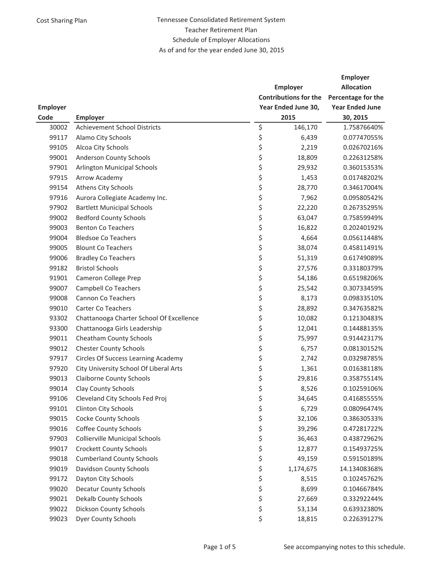|                 |                                            |                              | <b>Employer</b>        |
|-----------------|--------------------------------------------|------------------------------|------------------------|
|                 |                                            | <b>Employer</b>              | <b>Allocation</b>      |
|                 |                                            | <b>Contributions for the</b> | Percentage for the     |
| <b>Employer</b> |                                            | Year Ended June 30,          | <b>Year Ended June</b> |
| Code            | <b>Employer</b>                            | 2015                         | 30, 2015               |
| 30002           | <b>Achievement School Districts</b>        | \$<br>146,170                | 1.75876640%            |
| 99117           | Alamo City Schools                         | \$<br>6,439                  | 0.07747055%            |
| 99105           | Alcoa City Schools                         | \$<br>2,219                  | 0.02670216%            |
| 99001           | Anderson County Schools                    | \$<br>18,809                 | 0.22631258%            |
| 97901           | <b>Arlington Municipal Schools</b>         | \$<br>29,932                 | 0.36015353%            |
| 97915           | Arrow Academy                              | \$<br>1,453                  | 0.01748202%            |
| 99154           | Athens City Schools                        | \$<br>28,770                 | 0.34617004%            |
| 97916           | Aurora Collegiate Academy Inc.             | \$<br>7,962                  | 0.09580542%            |
| 97902           | <b>Bartlett Municipal Schools</b>          | \$<br>22,220                 | 0.26735295%            |
| 99002           | <b>Bedford County Schools</b>              | \$<br>63,047                 | 0.75859949%            |
| 99003           | <b>Benton Co Teachers</b>                  | \$<br>16,822                 | 0.20240192%            |
| 99004           | <b>Bledsoe Co Teachers</b>                 | \$<br>4,664                  | 0.05611448%            |
| 99005           | <b>Blount Co Teachers</b>                  | \$<br>38,074                 | 0.45811491%            |
| 99006           | <b>Bradley Co Teachers</b>                 | \$<br>51,319                 | 0.61749089%            |
| 99182           | <b>Bristol Schools</b>                     | \$<br>27,576                 | 0.33180379%            |
| 91901           | Cameron College Prep                       | \$<br>54,186                 | 0.65198206%            |
| 99007           | <b>Campbell Co Teachers</b>                | \$<br>25,542                 | 0.30733459%            |
| 99008           | Cannon Co Teachers                         | \$<br>8,173                  | 0.09833510%            |
| 99010           | Carter Co Teachers                         | \$<br>28,892                 | 0.34763582%            |
| 93302           | Chattanooga Charter School Of Excellence   | \$<br>10,082                 | 0.12130483%            |
| 93300           | Chattanooga Girls Leadership               | \$<br>12,041                 | 0.14488135%            |
| 99011           | Cheatham County Schools                    | \$<br>75,997                 | 0.91442317%            |
| 99012           | <b>Chester County Schools</b>              | \$<br>6,757                  | 0.08130152%            |
| 97917           | <b>Circles Of Success Learning Academy</b> | \$<br>2,742                  | 0.03298785%            |
| 97920           | City University School Of Liberal Arts     | \$<br>1,361                  | 0.01638118%            |
| 99013           | <b>Claiborne County Schools</b>            | \$<br>29,816                 | 0.35875514%            |
| 99014           | Clay County Schools                        | \$<br>8,526                  | 0.10259106%            |
| 99106           | Cleveland City Schools Fed Proj            | \$<br>34,645                 | 0.41685555%            |
| 99101           | Clinton City Schools                       | \$<br>6,729                  | 0.08096474%            |
| 99015           | <b>Cocke County Schools</b>                | \$<br>32,106                 | 0.38630533%            |
| 99016           | Coffee County Schools                      | \$<br>39,296                 | 0.47281722%            |
| 97903           | <b>Collierville Municipal Schools</b>      | \$<br>36,463                 | 0.43872962%            |
| 99017           | <b>Crockett County Schools</b>             | \$<br>12,877                 | 0.15493725%            |
| 99018           | <b>Cumberland County Schools</b>           | \$<br>49,159                 | 0.59150189%            |
| 99019           | Davidson County Schools                    | \$<br>1,174,675              | 14.13408368%           |
| 99172           | Dayton City Schools                        | \$<br>8,515                  | 0.10245762%            |
| 99020           | <b>Decatur County Schools</b>              | \$<br>8,699                  | 0.10466784%            |
| 99021           | <b>Dekalb County Schools</b>               | \$<br>27,669                 | 0.33292244%            |
| 99022           | Dickson County Schools                     | \$<br>53,134                 | 0.63932380%            |
| 99023           | <b>Dyer County Schools</b>                 | \$<br>18,815                 | 0.22639127%            |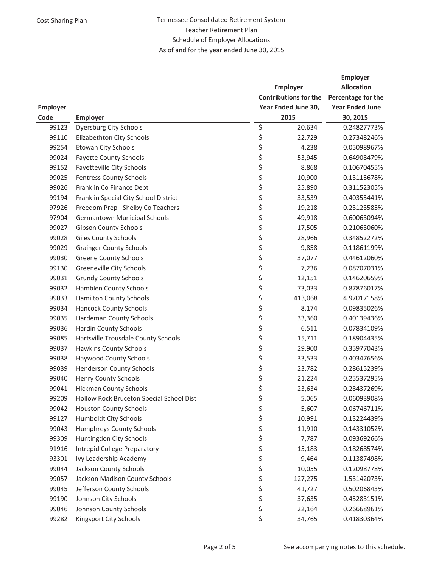|                 |                                          |                              | <b>Employer</b>        |
|-----------------|------------------------------------------|------------------------------|------------------------|
|                 |                                          | <b>Employer</b>              | <b>Allocation</b>      |
|                 |                                          | <b>Contributions for the</b> | Percentage for the     |
| <b>Employer</b> |                                          | Year Ended June 30,          | <b>Year Ended June</b> |
| Code            | <b>Employer</b>                          | 2015                         | 30, 2015               |
| 99123           | Dyersburg City Schools                   | \$<br>20,634                 | 0.24827773%            |
| 99110           | Elizabethton City Schools                | \$<br>22,729                 | 0.27348246%            |
| 99254           | Etowah City Schools                      | \$<br>4,238                  | 0.05098967%            |
| 99024           | <b>Fayette County Schools</b>            | \$<br>53,945                 | 0.64908479%            |
| 99152           | Fayetteville City Schools                | \$<br>8,868                  | 0.10670455%            |
| 99025           | <b>Fentress County Schools</b>           | \$<br>10,900                 | 0.13115678%            |
| 99026           | Franklin Co Finance Dept                 | \$<br>25,890                 | 0.31152305%            |
| 99194           | Franklin Special City School District    | \$<br>33,539                 | 0.40355441%            |
| 97926           | Freedom Prep - Shelby Co Teachers        | \$<br>19,218                 | 0.23123585%            |
| 97904           | <b>Germantown Municipal Schools</b>      | \$<br>49,918                 | 0.60063094%            |
| 99027           | <b>Gibson County Schools</b>             | \$<br>17,505                 | 0.21063060%            |
| 99028           | <b>Giles County Schools</b>              | \$<br>28,966                 | 0.34852272%            |
| 99029           | <b>Grainger County Schools</b>           | \$<br>9,858                  | 0.11861199%            |
| 99030           | <b>Greene County Schools</b>             | \$<br>37,077                 | 0.44612060%            |
| 99130           | Greeneville City Schools                 | \$<br>7,236                  | 0.08707031%            |
| 99031           | <b>Grundy County Schools</b>             | \$<br>12,151                 | 0.14620659%            |
| 99032           | Hamblen County Schools                   | \$<br>73,033                 | 0.87876017%            |
| 99033           | <b>Hamilton County Schools</b>           | \$<br>413,068                | 4.97017158%            |
| 99034           | <b>Hancock County Schools</b>            | \$<br>8,174                  | 0.09835026%            |
| 99035           | Hardeman County Schools                  | \$<br>33,360                 | 0.40139436%            |
| 99036           | Hardin County Schools                    | \$<br>6,511                  | 0.07834109%            |
| 99085           | Hartsville Trousdale County Schools      | \$<br>15,711                 | 0.18904435%            |
| 99037           | <b>Hawkins County Schools</b>            | \$<br>29,900                 | 0.35977043%            |
| 99038           | <b>Haywood County Schools</b>            | \$<br>33,533                 | 0.40347656%            |
| 99039           | <b>Henderson County Schools</b>          | \$<br>23,782                 | 0.28615239%            |
| 99040           | <b>Henry County Schools</b>              | \$<br>21,224                 | 0.25537295%            |
| 99041           | <b>Hickman County Schools</b>            | \$<br>23,634                 | 0.28437269%            |
| 99209           | Hollow Rock Bruceton Special School Dist | \$<br>5,065                  | 0.06093908%            |
| 99042           | <b>Houston County Schools</b>            | \$<br>5,607                  | 0.06746711%            |
| 99127           | Humboldt City Schools                    | \$<br>10,991                 | 0.13224439%            |
| 99043           | Humphreys County Schools                 | \$<br>11,910                 | 0.14331052%            |
| 99309           | Huntingdon City Schools                  | \$<br>7,787                  | 0.09369266%            |
| 91916           | <b>Intrepid College Preparatory</b>      | \$<br>15,183                 | 0.18268574%            |
| 93301           | Ivy Leadership Academy                   | \$<br>9,464                  | 0.11387498%            |
| 99044           | Jackson County Schools                   | \$<br>10,055                 | 0.12098778%            |
| 99057           | Jackson Madison County Schools           | \$<br>127,275                | 1.53142073%            |
| 99045           | Jefferson County Schools                 | \$<br>41,727                 | 0.50206843%            |
| 99190           | Johnson City Schools                     | \$<br>37,635                 | 0.45283151%            |
| 99046           | Johnson County Schools                   | \$<br>22,164                 | 0.26668961%            |
| 99282           | Kingsport City Schools                   | \$<br>34,765                 | 0.41830364%            |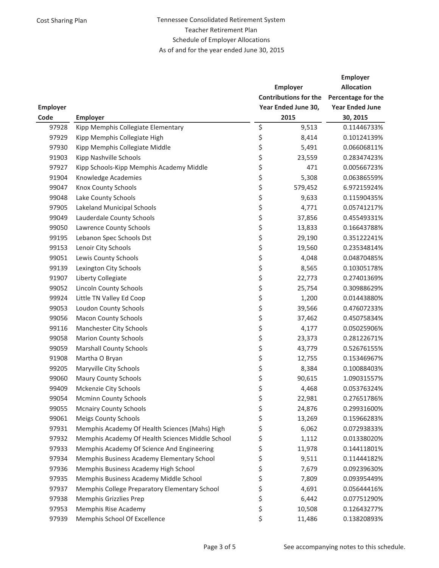|                 |                                                  |                              | <b>Employer</b>        |
|-----------------|--------------------------------------------------|------------------------------|------------------------|
|                 |                                                  | <b>Employer</b>              | <b>Allocation</b>      |
|                 |                                                  | <b>Contributions for the</b> | Percentage for the     |
| <b>Employer</b> |                                                  | Year Ended June 30,          | <b>Year Ended June</b> |
| Code            | <b>Employer</b>                                  | 2015                         | 30, 2015               |
| 97928           | Kipp Memphis Collegiate Elementary               | \$<br>9,513                  | 0.11446733%            |
| 97929           | Kipp Memphis Collegiate High                     | \$<br>8,414                  | 0.10124139%            |
| 97930           | Kipp Memphis Collegiate Middle                   | \$<br>5,491                  | 0.06606811%            |
| 91903           | Kipp Nashville Schools                           | \$<br>23,559                 | 0.28347423%            |
| 97927           | Kipp Schools-Kipp Memphis Academy Middle         | \$<br>471                    | 0.00566723%            |
| 91904           | Knowledge Academies                              | \$<br>5,308                  | 0.06386559%            |
| 99047           | Knox County Schools                              | \$<br>579,452                | 6.97215924%            |
| 99048           | Lake County Schools                              | \$<br>9,633                  | 0.11590435%            |
| 97905           | Lakeland Municipal Schools                       | \$<br>4,771                  | 0.05741217%            |
| 99049           | Lauderdale County Schools                        | \$<br>37,856                 | 0.45549331%            |
| 99050           | Lawrence County Schools                          | \$<br>13,833                 | 0.16643788%            |
| 99195           | Lebanon Spec Schools Dst                         | \$<br>29,190                 | 0.35122241%            |
| 99153           | Lenoir City Schools                              | \$<br>19,560                 | 0.23534814%            |
| 99051           | Lewis County Schools                             | \$<br>4,048                  | 0.04870485%            |
| 99139           | Lexington City Schools                           | \$<br>8,565                  | 0.10305178%            |
| 91907           | Liberty Collegiate                               | \$<br>22,773                 | 0.27401369%            |
| 99052           | <b>Lincoln County Schools</b>                    | \$<br>25,754                 | 0.30988629%            |
| 99924           | Little TN Valley Ed Coop                         | \$<br>1,200                  | 0.01443880%            |
| 99053           | Loudon County Schools                            | \$<br>39,566                 | 0.47607233%            |
| 99056           | <b>Macon County Schools</b>                      | \$<br>37,462                 | 0.45075834%            |
| 99116           | Manchester City Schools                          | \$<br>4,177                  | 0.05025906%            |
| 99058           | <b>Marion County Schools</b>                     | \$<br>23,373                 | 0.28122671%            |
| 99059           | <b>Marshall County Schools</b>                   | \$<br>43,779                 | 0.52676155%            |
| 91908           | Martha O Bryan                                   | \$<br>12,755                 | 0.15346967%            |
| 99205           | Maryville City Schools                           | \$<br>8,384                  | 0.10088403%            |
| 99060           | <b>Maury County Schools</b>                      | \$<br>90,615                 | 1.09031557%            |
| 99409           | Mckenzie City Schools                            | \$<br>4,468                  | 0.05376324%            |
| 99054           | <b>Mcminn County Schools</b>                     | \$<br>22,981                 | 0.27651786%            |
| 99055           | <b>Mcnairy County Schools</b>                    | \$<br>24,876                 | 0.29931600%            |
| 99061           | <b>Meigs County Schools</b>                      | \$<br>13,269                 | 0.15966283%            |
| 97931           | Memphis Academy Of Health Sciences (Mahs) High   | \$<br>6,062                  | 0.07293833%            |
| 97932           | Memphis Academy Of Health Sciences Middle School | \$<br>1,112                  | 0.01338020%            |
| 97933           | Memphis Academy Of Science And Engineering       | \$<br>11,978                 | 0.14411801%            |
| 97934           | Memphis Business Academy Elementary School       | \$<br>9,511                  | 0.11444182%            |
| 97936           | Memphis Business Academy High School             | \$<br>7,679                  | 0.09239630%            |
| 97935           | Memphis Business Academy Middle School           | \$<br>7,809                  | 0.09395449%            |
| 97937           | Memphis College Preparatory Elementary School    | \$<br>4,691                  | 0.05644416%            |
| 97938           | Memphis Grizzlies Prep                           | \$<br>6,442                  | 0.07751290%            |
| 97953           | Memphis Rise Academy                             | \$<br>10,508                 | 0.12643277%            |
| 97939           | Memphis School Of Excellence                     | \$<br>11,486                 | 0.13820893%            |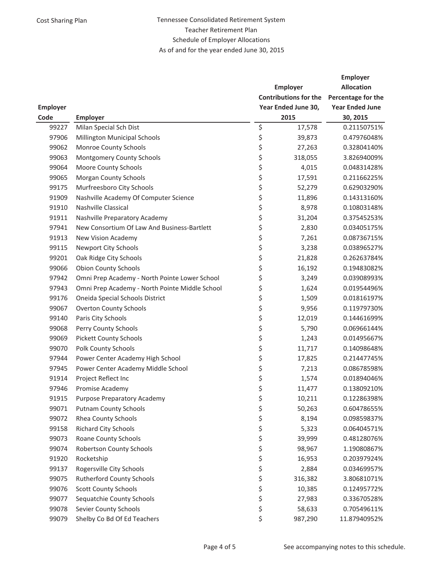|                 |                                                |                              | <b>Employer</b>        |
|-----------------|------------------------------------------------|------------------------------|------------------------|
|                 |                                                | <b>Employer</b>              | <b>Allocation</b>      |
|                 |                                                | <b>Contributions for the</b> | Percentage for the     |
| <b>Employer</b> |                                                | Year Ended June 30,          | <b>Year Ended June</b> |
| Code            | <b>Employer</b>                                | 2015                         | 30, 2015               |
| 99227           | Milan Special Sch Dist                         | \$<br>17,578                 | 0.21150751%            |
| 97906           | Millington Municipal Schools                   | \$<br>39,873                 | 0.47976048%            |
| 99062           | Monroe County Schools                          | \$<br>27,263                 | 0.32804140%            |
| 99063           | Montgomery County Schools                      | \$<br>318,055                | 3.82694009%            |
| 99064           | Moore County Schools                           | \$<br>4,015                  | 0.04831428%            |
| 99065           | <b>Morgan County Schools</b>                   | \$<br>17,591                 | 0.21166225%            |
| 99175           | Murfreesboro City Schools                      | \$<br>52,279                 | 0.62903290%            |
| 91909           | Nashville Academy Of Computer Science          | \$<br>11,896                 | 0.14313160%            |
| 91910           | Nashville Classical                            | \$<br>8,978                  | 0.10803148%            |
| 91911           | Nashville Preparatory Academy                  | \$<br>31,204                 | 0.37545253%            |
| 97941           | New Consortium Of Law And Business-Bartlett    | \$<br>2,830                  | 0.03405175%            |
| 91913           | New Vision Academy                             | \$<br>7,261                  | 0.08736715%            |
| 99115           | <b>Newport City Schools</b>                    | \$<br>3,238                  | 0.03896527%            |
| 99201           | Oak Ridge City Schools                         | \$<br>21,828                 | 0.26263784%            |
| 99066           | <b>Obion County Schools</b>                    | \$<br>16,192                 | 0.19483082%            |
| 97942           | Omni Prep Academy - North Pointe Lower School  | \$<br>3,249                  | 0.03908993%            |
| 97943           | Omni Prep Academy - North Pointe Middle School | \$<br>1,624                  | 0.01954496%            |
| 99176           | Oneida Special Schools District                | \$<br>1,509                  | 0.01816197%            |
| 99067           | <b>Overton County Schools</b>                  | \$<br>9,956                  | 0.11979730%            |
| 99140           | Paris City Schools                             | \$<br>12,019                 | 0.14461699%            |
| 99068           | Perry County Schools                           | \$<br>5,790                  | 0.06966144%            |
| 99069           | <b>Pickett County Schools</b>                  | \$<br>1,243                  | 0.01495667%            |
| 99070           | Polk County Schools                            | \$<br>11,717                 | 0.14098648%            |
| 97944           | Power Center Academy High School               | \$<br>17,825                 | 0.21447745%            |
| 97945           | Power Center Academy Middle School             | \$<br>7,213                  | 0.08678598%            |
| 91914           | Project Reflect Inc                            | \$<br>1,574                  | 0.01894046%            |
| 97946           | Promise Academy                                | \$<br>11,477                 | 0.13809210%            |
| 91915           | Purpose Preparatory Academy                    | \$<br>10,211                 | 0.12286398%            |
| 99071           | <b>Putnam County Schools</b>                   | \$<br>50,263                 | 0.60478655%            |
| 99072           | <b>Rhea County Schools</b>                     | \$<br>8,194                  | 0.09859837%            |
| 99158           | <b>Richard City Schools</b>                    | \$<br>5,323                  | 0.06404571%            |
| 99073           | Roane County Schools                           | \$<br>39,999                 | 0.48128076%            |
| 99074           | Robertson County Schools                       | \$<br>98,967                 | 1.19080867%            |
| 91920           | Rocketship                                     | \$<br>16,953                 | 0.20397924%            |
| 99137           | Rogersville City Schools                       | \$<br>2,884                  | 0.03469957%            |
| 99075           | <b>Rutherford County Schools</b>               | \$<br>316,382                | 3.80681071%            |
| 99076           | <b>Scott County Schools</b>                    | \$<br>10,385                 | 0.12495772%            |
| 99077           | Sequatchie County Schools                      | \$<br>27,983                 | 0.33670528%            |
| 99078           | Sevier County Schools                          | \$<br>58,633                 | 0.70549611%            |
| 99079           | Shelby Co Bd Of Ed Teachers                    | \$<br>987,290                | 11.87940952%           |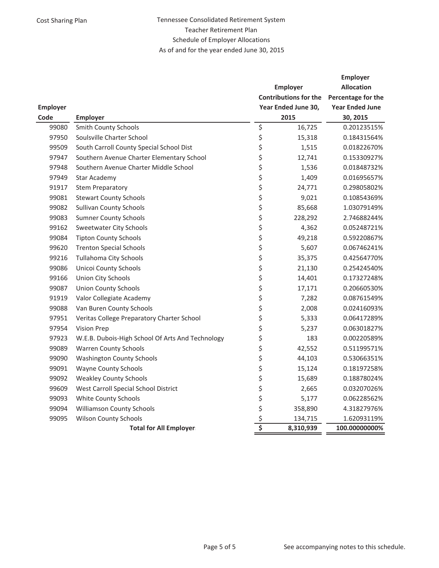| <b>Employer</b><br>Code | Employer                                         |                                     | <b>Employer</b><br><b>Contributions for the</b><br>Year Ended June 30,<br>2015 | <b>Employer</b><br><b>Allocation</b><br>Percentage for the<br><b>Year Ended June</b><br>30, 2015 |
|-------------------------|--------------------------------------------------|-------------------------------------|--------------------------------------------------------------------------------|--------------------------------------------------------------------------------------------------|
| 99080                   | <b>Smith County Schools</b>                      | \$                                  | 16,725                                                                         | 0.20123515%                                                                                      |
| 97950                   | Soulsville Charter School                        | \$                                  | 15,318                                                                         | 0.18431564%                                                                                      |
| 99509                   | South Carroll County Special School Dist         | \$                                  | 1,515                                                                          | 0.01822670%                                                                                      |
| 97947                   | Southern Avenue Charter Elementary School        | \$                                  | 12,741                                                                         | 0.15330927%                                                                                      |
| 97948                   | Southern Avenue Charter Middle School            | \$                                  | 1,536                                                                          | 0.01848732%                                                                                      |
| 97949                   | <b>Star Academy</b>                              | \$                                  | 1,409                                                                          | 0.01695657%                                                                                      |
| 91917                   | <b>Stem Preparatory</b>                          | \$                                  | 24,771                                                                         | 0.29805802%                                                                                      |
| 99081                   | <b>Stewart County Schools</b>                    | \$                                  | 9,021                                                                          | 0.10854369%                                                                                      |
| 99082                   | <b>Sullivan County Schools</b>                   | \$                                  | 85,668                                                                         | 1.03079149%                                                                                      |
| 99083                   | <b>Sumner County Schools</b>                     | \$                                  | 228,292                                                                        | 2.74688244%                                                                                      |
| 99162                   | <b>Sweetwater City Schools</b>                   | \$                                  | 4,362                                                                          | 0.05248721%                                                                                      |
| 99084                   | <b>Tipton County Schools</b>                     | \$                                  | 49,218                                                                         | 0.59220867%                                                                                      |
| 99620                   | <b>Trenton Special Schools</b>                   | \$                                  | 5,607                                                                          | 0.06746241%                                                                                      |
| 99216                   | <b>Tullahoma City Schools</b>                    | \$                                  | 35,375                                                                         | 0.42564770%                                                                                      |
| 99086                   | <b>Unicoi County Schools</b>                     | \$                                  | 21,130                                                                         | 0.25424540%                                                                                      |
| 99166                   | <b>Union City Schools</b>                        | \$                                  | 14,401                                                                         | 0.17327248%                                                                                      |
| 99087                   | <b>Union County Schools</b>                      | \$                                  | 17,171                                                                         | 0.20660530%                                                                                      |
| 91919                   | Valor Collegiate Academy                         | \$                                  | 7,282                                                                          | 0.08761549%                                                                                      |
| 99088                   | Van Buren County Schools                         | \$                                  | 2,008                                                                          | 0.02416093%                                                                                      |
| 97951                   | Veritas College Preparatory Charter School       | \$                                  | 5,333                                                                          | 0.06417289%                                                                                      |
| 97954                   | <b>Vision Prep</b>                               | \$                                  | 5,237                                                                          | 0.06301827%                                                                                      |
| 97923                   | W.E.B. Dubois-High School Of Arts And Technology | \$                                  | 183                                                                            | 0.00220589%                                                                                      |
| 99089                   | <b>Warren County Schools</b>                     | \$                                  | 42,552                                                                         | 0.51199571%                                                                                      |
| 99090                   | <b>Washington County Schools</b>                 | \$                                  | 44,103                                                                         | 0.53066351%                                                                                      |
| 99091                   | <b>Wayne County Schools</b>                      | \$                                  | 15,124                                                                         | 0.18197258%                                                                                      |
| 99092                   | <b>Weakley County Schools</b>                    | \$                                  | 15,689                                                                         | 0.18878024%                                                                                      |
| 99609                   | West Carroll Special School District             | \$                                  | 2,665                                                                          | 0.03207026%                                                                                      |
| 99093                   | White County Schools                             | \$                                  | 5,177                                                                          | 0.06228562%                                                                                      |
| 99094                   | Williamson County Schools                        | \$                                  | 358,890                                                                        | 4.31827976%                                                                                      |
| 99095                   | <b>Wilson County Schools</b>                     | \$                                  | 134,715                                                                        | 1.62093119%                                                                                      |
|                         | <b>Total for All Employer</b>                    | $\overline{\boldsymbol{\varsigma}}$ | 8,310,939                                                                      | 100.00000000%                                                                                    |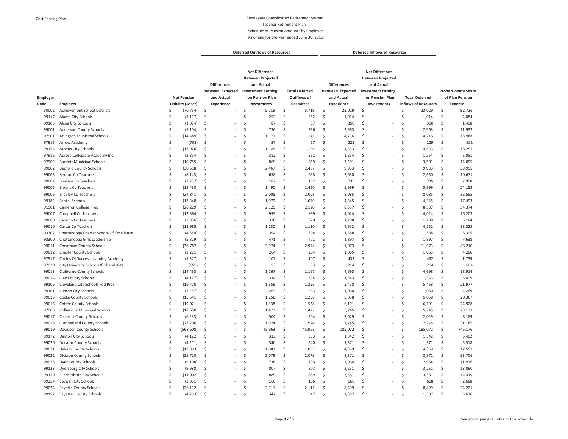**Deferred Outflows of Resources** 

Deferred Inflows of Resources

|          |                                          |    |                    |              | <b>Differences</b>      |                    | <b>Net Difference</b><br><b>Between Projected</b><br>and Actual |              |                       |         | <b>Differences</b>      |              | <b>Net Difference</b><br><b>Between Projected</b><br>and Actual |              |                             |                    | <b>Proportionate Share</b> |
|----------|------------------------------------------|----|--------------------|--------------|-------------------------|--------------------|-----------------------------------------------------------------|--------------|-----------------------|---------|-------------------------|--------------|-----------------------------------------------------------------|--------------|-----------------------------|--------------------|----------------------------|
|          |                                          |    |                    |              | <b>Between Expected</b> |                    | <b>Investment Earnings</b>                                      |              | <b>Total Deferred</b> |         | <b>Between Expected</b> |              | <b>Investment Earnings</b>                                      |              |                             |                    |                            |
| Employer |                                          |    | <b>Net Pension</b> |              | and Actual              |                    | on Pension Plan                                                 |              | Outflows of           |         | and Actual              |              | on Pension Plan                                                 |              | <b>Total Deferred</b>       |                    | of Plan Pension            |
| Code     | Employer                                 |    | Liability (Asset)  |              | Experience              |                    | Investments                                                     |              | <b>Resources</b>      |         | Experience              |              | Investments                                                     |              | <b>Inflows of Resources</b> |                    | Expense                    |
| 30002    | <b>Achievement School Districts</b>      | \$ | (70, 754)          | $\zeta$      | $\sim$                  | <sub>S</sub>       | 5,719                                                           | \$           | 5,719                 | $\zeta$ | 23,029                  | <sub>S</sub> | $\sim$                                                          | \$           | 23,029                      | $\zeta$            | 92,726                     |
| 99117    | Alamo City Schools                       | \$ | (3, 117)           | \$           |                         | $\mathsf{S}$       | 252                                                             | Ś            | 252                   | \$      | 1,014                   | $\zeta$      |                                                                 | Ŝ.           | 1,014                       | \$                 | 4,084                      |
| 99105    | Alcoa City Schools                       | \$ | (1,074)            | \$           |                         | $\zeta$            | 87                                                              | \$.          | 87                    | \$      | 350                     | $\zeta$      |                                                                 | $\zeta$      | 350                         | \$                 | 1,408                      |
| 99001    | Anderson County Schools                  | Ś  | (9, 104)           | \$.          |                         | \$                 | 736                                                             | Ŝ            | 736                   | Ś       | 2,963                   | <sub>S</sub> |                                                                 | ς            | 2,963                       | \$                 | 11,932                     |
| 97901    | Arlington Municipal Schools              | Ś  | (14, 489)          | Ś            |                         | Ś                  | 1,171                                                           | Ŝ            | 1,171                 | Ś       | 4,716                   | -Ś           |                                                                 | <sub>S</sub> | 4,716                       | Ś                  | 18,988                     |
| 97915    | Arrow Academy                            | Ś  | (703)              | Ś            |                         | Ś                  | 57                                                              | Ś            | 57                    | Ś       | 229                     | <sup>5</sup> |                                                                 | .S           | 229                         | Ś                  | 922                        |
| 99154    | Athens City Schools                      | Ś  | (13,926)           | Ś            |                         | Ś                  | 1,126                                                           | Ś            | 1,126                 | \$      | 4,533                   | <sup>S</sup> |                                                                 | Ś            | 4,533                       | \$                 | 18,251                     |
| 97916    | Aurora Collegiate Academy Inc.           | \$ | (3,854)            | \$           |                         | <sup>S</sup>       | 312                                                             | Ŝ.           | 312                   | \$      | 1,254                   | $\zeta$      |                                                                 | Ŝ.           | 1,254                       | \$                 | 5,051                      |
| 97902    | <b>Bartlett Municipal Schools</b>        | \$ | (10, 755)          | \$           |                         | <sup>\$</sup>      | 869                                                             | Š.           | 869                   | \$      | 3,501                   | -\$          |                                                                 | ς            | 3,501                       | \$                 | 14,095                     |
| 99002    | <b>Bedford County Schools</b>            | Ś  | (30, 518)          | \$           |                         | Ś                  | 2.467                                                           | Ŝ.           | 2,467                 | \$      | 9,933                   | <sub>S</sub> |                                                                 | S            | 9,933                       | \$                 | 39,995                     |
| 99003    | <b>Benton Co Teachers</b>                | Ś  | (8, 143)           | Ś            |                         | Ś                  | 658                                                             | Ŝ.           | 658                   | \$      | 2,650                   | <sub>S</sub> |                                                                 |              | 2,650                       | \$                 | 10,671                     |
| 99004    | <b>Bledsoe Co Teachers</b>               | Ś  | (2, 257)           | \$           |                         | Ś                  | 182                                                             | Ś            | 182                   | \$      | 735                     | <sub>S</sub> |                                                                 | <sub>S</sub> | 735                         | \$                 | 2,958                      |
| 99005    | <b>Blount Co Teachers</b>                | \$ | (18, 430)          | \$           |                         | Ś                  | 1,490                                                           | Ś            | 1,490                 | \$      | 5,999                   | $\zeta$      |                                                                 | $\zeta$      | 5,999                       | \$                 | 24,153                     |
| 99006    | <b>Bradley Co Teachers</b>               | \$ | (24, 841)          | \$           |                         | Ś                  | 2,008                                                           | Ś            | 2,008                 | \$      | 8,085                   | <sub>S</sub> |                                                                 | Ŝ.           | 8,085                       | \$                 | 32,555                     |
| 99182    | <b>Bristol Schools</b>                   | Ś  | (13, 348)          | Ś            |                         | Ś                  | 1,079                                                           | Ŝ.           | 1,079                 | Ś       | 4,345                   | <sub>S</sub> |                                                                 | ς            | 4,345                       | Ś                  | 17,493                     |
| 91901    | Cameron College Prep                     | Ś  | (26, 229)          | Ś            |                         | Ś                  | 2,120                                                           | S            | 2,120                 | Ś       | 8,537                   | -Ś           |                                                                 |              | 8,537                       | \$                 | 34,374                     |
| 99007    | Campbell Co Teachers                     | Ś  | (12, 364)          | \$           |                         | Ś                  | 999                                                             | Ŝ.           | 999                   | \$      | 4,024                   | S.           |                                                                 |              | 4,024                       | \$                 | 16,203                     |
| 99008    | Cannon Co Teachers                       | Ś  | (3,956)            | \$           |                         | <sub>S</sub>       | 320                                                             | Ŝ            | 320                   | \$      | 1,288                   | -\$          |                                                                 |              | 1,288                       | \$                 | 5,184                      |
| 99010    | Carter Co Teachers                       | Ś  | (13,985)           | \$           |                         | Ś                  | 1,130                                                           | Ś            | 1,130                 | \$      | 4,552                   | $\zeta$      |                                                                 | <sub>S</sub> | 4,552                       | \$                 | 18,328                     |
| 93302    | Chattanooga Charter School Of Excellence | \$ | (4,880)            | \$           |                         | Ś                  | 394                                                             | Ŝ            | 394                   | \$      | 1,588                   | \$           |                                                                 | .S           | 1,588                       | \$                 | 6,395                      |
| 93300    | Chattanooga Girls Leadership             | Ś  | (5,829)            | Ś            |                         | Ś                  | 471                                                             | Ŝ.           | 471                   | Ś       | 1,897                   | Ś            |                                                                 |              | 1,897                       | \$                 | 7,638                      |
| 99011    | Cheatham County Schools                  | Ś  | (36, 787)          | Ś            |                         | Ś                  | 2,974                                                           | Ŝ.           | 2,974                 | \$      | 11,973                  | \$           |                                                                 | $\zeta$      | 11,973                      | \$                 | 48,210                     |
| 99012    | <b>Chester County Schools</b>            | Ś  | (3, 271)           | \$           |                         | Ś                  | 264                                                             | Ŝ            | 264                   | \$      | 1,065                   | Ś            |                                                                 | Š.           | 1,065                       | \$                 | 4,286                      |
| 97917    | Circles Of Success Learning Academy      | Ś  | (1, 327)           | \$           |                         | Ś                  | 107                                                             | <sub>S</sub> | 107                   | Ś       | 432                     | <sub>S</sub> |                                                                 | <sub>S</sub> | 432                         | \$                 | 1,739                      |
| 97920    | City University School Of Liberal Arts   | Ś  | (659)              | \$           |                         | Ś                  | 53                                                              | Ŝ            | 53                    | Ś       | 214                     | <sub>S</sub> |                                                                 | .S           | 214                         | Ś                  | 864                        |
| 99013    | Claiborne County Schools                 | \$ | (14, 433)          | \$           |                         | Ś                  | 1,167                                                           | Ś            | 1,167                 | \$      | 4,698                   | <sub>S</sub> |                                                                 |              | 4,698                       | \$                 | 18,914                     |
| 99014    | Clay County Schools                      | Ś  | (4, 127)           | Ś            |                         | Ś                  | 334                                                             | Š.           | 334                   | \$      | 1,343                   | <sub>S</sub> |                                                                 |              | 1,343                       | \$                 | 5,409                      |
| 99106    | Cleveland City Schools Fed Proj          | Ś  | (16, 770)          | \$           |                         | Ś                  | 1,356                                                           | Ŝ            | 1,356                 | \$      | 5,458                   | <sub>S</sub> |                                                                 | ς            | 5,458                       | \$                 | 21,977                     |
| 99101    | Clinton City Schools                     | Ś  | (3,257)            | \$           |                         | Ś                  | 263                                                             | Ŝ.           | 263                   | \$      | 1,060                   | <sub>S</sub> |                                                                 | <sub>S</sub> | 1,060                       | \$                 | 4,269                      |
| 99015    | <b>Cocke County Schools</b>              | Ś  | (15, 541)          | \$           |                         | Ś                  | 1,256                                                           | Ŝ            | 1,256                 | \$      | 5,058                   | <sub>S</sub> |                                                                 | .S           | 5,058                       | \$                 | 20,367                     |
| 99016    | Coffee County Schools                    | \$ | (19,021)           | \$           |                         | Ś                  | 1,538                                                           | Ś            | 1,538                 | \$      | 6,191                   | $\zeta$      |                                                                 |              | 6,191                       | \$                 | 24,928                     |
| 97903    | Collierville Municipal Schools           | \$ | (17, 650)          | \$           |                         | $\mathsf{\hat{S}}$ | 1,427                                                           | Ś            | 1,427                 | \$      | 5,745                   | $\zeta$      |                                                                 | Ŝ.           | 5,745                       | \$                 | 23,131                     |
| 99017    | Crockett County Schools                  | Ś  | (6, 233)           | \$           |                         | Ś                  | 504                                                             | Ŝ.           | 504                   | Ś       | 2,029                   | <sub>S</sub> |                                                                 | Š.           | 2,029                       | \$                 | 8,169                      |
| 99018    | <b>Cumberland County Schools</b>         | Ŝ  | (23, 796)          | Ś            |                         | Ś                  | 1,924                                                           | <sub>S</sub> | 1,924                 | Ś       | 7,745                   | -Ś           |                                                                 | <sub>S</sub> | 7,745                       | Ś                  | 31,185                     |
| 99019    | Davidson County Schools                  | Ś  | (568, 608)         | Ś            |                         | Ś                  | 45,963                                                          | S            | 45,963                | Ś       | 185,072                 | <sub>S</sub> |                                                                 | .S           | 185,072                     | Ś                  | 745,176                    |
| 99172    | Dayton City Schools                      | Ś  | (4, 122)           | \$           |                         | Ś                  | 333                                                             | S            | 333                   | Ś       | 1,342                   | <sub>S</sub> |                                                                 | .S           | 1,342                       | \$                 | 5,402                      |
| 99020    | <b>Decatur County Schools</b>            | \$ | (4, 211)           | \$           |                         | $\mathsf{\hat{S}}$ | 340                                                             | Ś            | 340                   | \$      | 1,371                   | $\zeta$      |                                                                 | Ŝ.           | 1,371                       | \$                 | 5,518                      |
| 99021    | Dekalb County Schools                    | \$ | (13, 393)          | \$           |                         | Ś                  | 1,083                                                           | Ŝ            | 1,083                 | \$      | 4,359                   | $\zeta$      |                                                                 | Ŝ.           | 4,359                       | \$                 | 17,552                     |
| 99022    | <b>Dickson County Schools</b>            | Ś  | (25, 720)          | \$           |                         | Ś                  | 2,079                                                           | Ŝ.           | 2,079                 | \$      | 8,371                   | <sub>S</sub> |                                                                 | <sub>S</sub> | 8,371                       | \$                 | 33,706                     |
| 99023    | <b>Dyer County Schools</b>               | Ś  | (9, 108)           | Ś            |                         | Ś                  | 736                                                             | Ŝ.           | 736                   | Ś       | 2,964                   | <sub>S</sub> |                                                                 |              | 2,964                       | \$                 | 11,936                     |
| 99123    | Dyersburg City Schools                   | Ś  | (9,988)            | \$           |                         | Ś                  | 807                                                             | Ŝ            | 807                   | \$      | 3,251                   | <sub>S</sub> |                                                                 | <sub>S</sub> | 3,251                       | \$                 | 13,090                     |
| 99110    | Elizabethton City Schools                | Ś  | (11,002)           | \$           |                         | Ś                  | 889                                                             | Ś            | 889                   | \$      | 3,581                   | $\zeta$      |                                                                 | Ŝ.           | 3,581                       | \$                 | 14,419                     |
| 99254    | Etowah City Schools                      | Ś  | (2,051)            | Ś            |                         | Ś                  | 166                                                             | Ŝ.           | 166                   | Ś       | 668                     | <sub>S</sub> |                                                                 | <sub>S</sub> | 668                         | \$                 | 2,688                      |
| 99024    | <b>Fayette County Schools</b>            | \$ | (26, 112)          | \$           |                         | Ś                  | 2,111                                                           | Ŝ            | 2,111                 | Ś       | 8,499                   | <sub>S</sub> |                                                                 | Ŝ            | 8,499                       | Ś                  | 34,221                     |
| 99152    | Fayetteville City Schools                | Š. | (4, 293)           | $\mathsf{S}$ |                         | Ś                  | 347                                                             | Š.           | 347                   | Ś       | 1,397                   | Ś            |                                                                 |              | 1,397                       | $\mathsf{\hat{S}}$ | 5,626                      |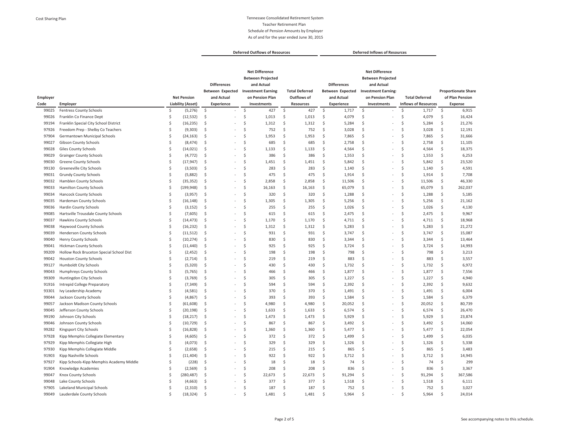**Deferred Outflows of Resources** 

Deferred Inflows of Resources

| Employer |                                          |                      | <b>Net Pension</b>       |         | <b>Differences</b><br><b>Between Expected</b><br>and Actual |             | <b>Net Difference</b><br><b>Between Projected</b><br>and Actual<br><b>Investment Earning:</b><br>on Pension Plan |              | <b>Total Deferred</b><br>Outflows of |                       | <b>Differences</b><br><b>Between Expected</b><br>and Actual |               | <b>Net Difference</b><br><b>Between Projected</b><br>and Actual<br><b>Investment Earnings</b><br>on Pension Plan |    | <b>Total Deferred</b>       |                       | <b>Proportionate Share</b><br>of Plan Pension |
|----------|------------------------------------------|----------------------|--------------------------|---------|-------------------------------------------------------------|-------------|------------------------------------------------------------------------------------------------------------------|--------------|--------------------------------------|-----------------------|-------------------------------------------------------------|---------------|------------------------------------------------------------------------------------------------------------------|----|-----------------------------|-----------------------|-----------------------------------------------|
| Code     | Employer                                 |                      | <b>Liability (Asset)</b> |         | Experience                                                  |             | Investments                                                                                                      |              | <b>Resources</b>                     |                       | Experience                                                  |               | Investments                                                                                                      |    | <b>Inflows of Resources</b> |                       | <b>Expense</b>                                |
| 99025    | Fentress County Schools                  | \$                   | (5, 276)                 | \$      | $\sim$                                                      | $\zeta$     | 427                                                                                                              | \$           | 427                                  | $\zeta$               | 1,717                                                       | \$            | $\sim$                                                                                                           | \$ | 1,717                       | $\zeta$               | 6,915                                         |
| 99026    | Franklin Co Finance Dept                 | \$                   | (12, 532)                | \$      |                                                             | Ś           | 1,013                                                                                                            | Ś            | 1,013                                | Ś                     | 4,079                                                       | Ś             |                                                                                                                  | Ś  | 4,079                       | \$                    | 16,424                                        |
| 99194    | Franklin Special City School District    | \$                   | (16, 235)                | \$      |                                                             | Ś           | 1,312                                                                                                            | Ś            | 1,312                                | Ś                     | 5,284                                                       | Ś             |                                                                                                                  | Ś  | 5,284                       | <sup>S</sup>          | 21,276                                        |
| 97926    | Freedom Prep - Shelby Co Teachers        | \$                   | (9,303)                  | \$      |                                                             | Ś           | 752                                                                                                              | $\mathsf{S}$ | 752                                  | Ś                     | 3,028                                                       | \$            |                                                                                                                  | Ś  | 3,028                       | \$                    | 12,191                                        |
| 97904    | Germantown Municipal Schools             | \$                   | (24, 163)                | Ś       |                                                             | Ś           | 1,953                                                                                                            | Ś            | 1,953                                | Ś                     | 7,865                                                       | Ś             |                                                                                                                  | Ś  | 7,865                       | \$                    | 31,666                                        |
| 99027    | Gibson County Schools                    | \$                   | (8, 474)                 | Ŝ.      |                                                             | Ś           | 685                                                                                                              | \$           | 685                                  | Ś                     | 2,758                                                       | \$            |                                                                                                                  | Ś  | 2,758                       | \$                    | 11,105                                        |
| 99028    | <b>Giles County Schools</b>              | \$                   | (14, 021)                | \$      |                                                             | Ś           | 1,133                                                                                                            | $\mathsf{S}$ | 1,133                                | $\mathsf{S}$          | 4,564                                                       | \$            |                                                                                                                  | Ś  | 4,564                       | \$                    | 18,375                                        |
| 99029    | <b>Grainger County Schools</b>           | \$                   | (4, 772)                 | \$      |                                                             | Ŝ           | 386                                                                                                              | Ś            | 386                                  | <sup>5</sup>          | 1,553                                                       | <sup>\$</sup> |                                                                                                                  | Ś  | 1,553                       | <sup>\$</sup>         | 6,253                                         |
| 99030    | Greene County Schools                    | Ś                    | (17, 947)                | \$      |                                                             | Ś           | 1,451                                                                                                            | Ś            | 1,451                                | Ś                     | 5,842                                                       | Ś             |                                                                                                                  | Ś  | 5,842                       | <sup>S</sup>          | 23,520                                        |
| 99130    | Greeneville City Schools                 | Ś                    | (3,503)                  | \$      |                                                             | Ś           | 283                                                                                                              | Ś            | 283                                  | Ś                     | 1,140                                                       | Ś             |                                                                                                                  | Ś  | 1,140                       | <sup>S</sup>          | 4,591                                         |
| 99031    | <b>Grundy County Schools</b>             | \$                   | (5,882)                  | \$      |                                                             | Ś           | 475                                                                                                              | $\mathsf{S}$ | 475                                  | $\mathsf{S}$          | 1,914                                                       | \$            |                                                                                                                  | \$ | 1,914                       | $\mathsf{S}$          | 7,708                                         |
| 99032    | Hamblen County Schools                   | \$                   | (35, 352)                | \$      |                                                             | Ś           | 2,858                                                                                                            | Ś            | 2,858                                | Ś                     | 11,506                                                      | Ś.            |                                                                                                                  | Ś  | 11,506                      | \$                    | 46,330                                        |
| 99033    | Hamilton County Schools                  | \$                   | (199, 948)               | \$      |                                                             | Ś           | 16,163                                                                                                           | Ś            | 16,163                               | Ś                     | 65,079                                                      | \$            |                                                                                                                  | Ś  | 65,079                      | \$                    | 262,037                                       |
| 99034    | <b>Hancock County Schools</b>            | $\mathsf{S}$         | (3,957)                  | \$      |                                                             | Ś           | 320                                                                                                              | Ś            | 320                                  | Ś                     | 1,288                                                       | Ś             |                                                                                                                  | Ś  | 1,288                       | <sup>S</sup>          | 5,185                                         |
| 99035    | Hardeman County Schools                  | Ś                    | (16, 148)                | Ŝ.      |                                                             | Ś           | 1,305                                                                                                            | Ś            | 1,305                                | Ś                     | 5,256                                                       | Ś             |                                                                                                                  | Ś  | 5,256                       | \$                    | 21,162                                        |
| 99036    | Hardin County Schools                    | \$                   | (3, 152)                 | \$      |                                                             | Ś           | 255                                                                                                              | Ś            | 255                                  | Ś                     | 1,026                                                       | Ś             |                                                                                                                  | Ś  | 1,026                       | \$                    | 4,130                                         |
| 99085    | Hartsville Trousdale County Schools      | \$                   | (7,605)                  | \$      |                                                             | Ś           | 615                                                                                                              | $\mathsf{S}$ | 615                                  | $\mathsf{S}$          | 2,475                                                       | \$            |                                                                                                                  | \$ | 2,475                       | \$                    | 9,967                                         |
| 99037    | Hawkins County Schools                   | \$                   | (14, 473)                | \$      |                                                             | Ś           | 1,170                                                                                                            | $\mathsf{S}$ | 1,170                                | \$                    | 4,711                                                       | \$            |                                                                                                                  | \$ | 4,711                       | \$                    | 18,968                                        |
| 99038    | <b>Haywood County Schools</b>            | Ś                    | (16, 232)                | \$      |                                                             | S           | 1,312                                                                                                            | Ś            | 1,312                                | Ś                     | 5,283                                                       | Ŝ             |                                                                                                                  | Ś  | 5,283                       | <sup>S</sup>          | 21,272                                        |
| 99039    | <b>Henderson County Schools</b>          | Ś                    | (11, 512)                | \$      |                                                             | Ś           | 931                                                                                                              | Ś            | 931                                  | Ś                     | 3,747                                                       | Ŝ             |                                                                                                                  | Ś  | 3,747                       | <sup>S</sup>          | 15,087                                        |
| 99040    | <b>Henry County Schools</b>              | Ś                    | (10, 274)                | \$      |                                                             | Ś           | 830                                                                                                              | Ś            | 830                                  | Ś                     | 3,344                                                       | Ś             |                                                                                                                  | Ś  | 3,344                       | <sup>S</sup>          | 13,464                                        |
| 99041    | <b>Hickman County Schools</b>            | Ś                    | (11, 440)                | Ŝ.      |                                                             | Ś           | 925                                                                                                              | Ś            | 925                                  | Ś                     | 3,724                                                       | Ś             |                                                                                                                  | Ś  | 3,724                       | \$                    | 14,993                                        |
| 99209    | Hollow Rock Bruceton Special School Dist | \$                   | (2, 452)                 | \$      |                                                             | Ś           | 198                                                                                                              | Ś            | 198                                  | \$                    | 798                                                         | Ś             |                                                                                                                  | Ś  | 798                         | \$                    | 3,213                                         |
| 99042    | <b>Houston County Schools</b>            | \$                   | (2,714)                  | \$      |                                                             | Ś           | 219                                                                                                              | Ś            | 219                                  | $\mathsf{S}$          | 883                                                         | Ś             |                                                                                                                  | Ś  | 883                         | \$                    | 3,557                                         |
| 99127    | <b>Humboldt City Schools</b>             | \$                   | (5, 320)                 | \$      |                                                             | Ś           | 430                                                                                                              | <sup>5</sup> | 430                                  | Ś                     | 1.732                                                       | Ś             |                                                                                                                  | Ś  | 1,732                       | <sup>S</sup>          | 6,972                                         |
| 99043    | Humphreys County Schools                 | Ś                    | (5,765)                  | \$      |                                                             | Ś           | 466                                                                                                              | Ś            | 466                                  | Ś                     | 1,877                                                       | Ś             |                                                                                                                  | Ś  | 1,877                       | \$                    | 7,556                                         |
| 99309    | Huntingdon City Schools                  | \$                   | (3,769)                  | \$      |                                                             | Ś           | 305                                                                                                              | Ś            | 305                                  | Ś                     | 1,227                                                       | Ś             |                                                                                                                  | Ś  | 1,227                       | \$                    | 4,940                                         |
| 91916    | Intrepid College Preparatory             | \$                   | (7, 349)                 | \$      |                                                             | Ś           | 594                                                                                                              | \$           | 594                                  | $\mathsf{S}$          | 2,392                                                       | \$            |                                                                                                                  | \$ | 2,392                       | \$                    | 9,632                                         |
| 93301    | Ivy Leadership Academy                   | \$                   | (4,581)                  | \$      |                                                             | Ś           | 370                                                                                                              | \$           | 370                                  | Ś                     | 1,491                                                       | \$            |                                                                                                                  | Ś  | 1,491                       | \$                    | 6,004                                         |
| 99044    | Jackson County Schools                   | .S                   | (4, 867)                 | \$.     |                                                             | Ŝ           | 393                                                                                                              | Ś            | 393                                  | Ś                     | 1,584                                                       | \$.           |                                                                                                                  | Ś  | 1,584                       | \$                    | 6,379                                         |
| 99057    | Jackson Madison County Schools           | $\mathsf{S}$         | (61, 608)                | \$      |                                                             | Ś           | 4,980                                                                                                            | Ś            | 4,980                                | Ś                     | 20,052                                                      | Ś             |                                                                                                                  | Ś  | 20,052                      | <sup>S</sup>          | 80,739                                        |
| 99045    | Jefferson County Schools                 | Ś                    | (20, 198)                | Ŝ.      |                                                             | Ŝ           | 1,633                                                                                                            | Ś            | 1,633                                | Ś                     | 6,574                                                       | Ś             |                                                                                                                  | Ś  | 6,574                       | <sup>S</sup>          | 26,470                                        |
| 99190    | Johnson City Schools                     | Ś                    | (18, 217)                | \$      |                                                             | Ś           | 1,473                                                                                                            | Ś            | 1,473                                | Ś                     | 5,929                                                       | Ś             |                                                                                                                  | Ś  | 5,929                       | <sup>S</sup>          | 23,874                                        |
| 99046    | Johnson County Schools                   | $\mathsf{S}$         | (10, 729)                | \$      |                                                             | Ś           | 867                                                                                                              | \$           | 867                                  | $\mathsf{S}$          | 3,492                                                       | \$            |                                                                                                                  | \$ | 3,492                       | $\mathsf{S}$          | 14,060                                        |
| 99282    | Kingsport City Schools                   | \$                   | (16, 828)                | Ŝ.      |                                                             | Ś           | 1,360                                                                                                            | Ś            | 1,360                                | Ś                     | 5,477                                                       | \$            |                                                                                                                  | Ś  | 5,477                       | \$                    | 22,054                                        |
| 97928    | Kipp Memphis Collegiate Elementary       | \$                   | (4,605)                  | \$      |                                                             | Ś           | 372                                                                                                              | Ś            | 372                                  | Ś                     | 1.499                                                       | Ś             |                                                                                                                  | Ś  | 1,499                       | <sup>S</sup>          | 6,035                                         |
| 97929    | Kipp Memphis Collegiate High             | Ś                    | (4,073)                  | \$      |                                                             | Ś           | 329                                                                                                              | Ś            | 329                                  | Ś                     | 1,326                                                       | Ś             |                                                                                                                  | Ś  | 1,326                       | <sup>S</sup>          | 5,338                                         |
| 97930    | Kipp Memphis Collegiate Middle           | \$                   | (2,658)                  | Ŝ.      |                                                             | Ś           | 215                                                                                                              | Ś            | 215                                  | Ś                     | 865                                                         | Ś             |                                                                                                                  | Ś  | 865                         | \$                    | 3,483                                         |
| 91903    | Kipp Nashville Schools                   | \$                   | (11, 404)                | Ŝ.      |                                                             | Ś           | 922                                                                                                              | \$           | 922                                  | Ś                     | 3,712                                                       | Ś             |                                                                                                                  | Ś  | 3,712                       | \$                    | 14,945                                        |
| 97927    | Kipp Schools-Kipp Memphis Academy Middle | \$                   | (228)                    | \$      |                                                             | Ś           | 18                                                                                                               | \$           | 18                                   | \$                    | 74                                                          | \$            |                                                                                                                  | Ś  | 74                          | <sup>\$</sup>         | 299                                           |
| 91904    | Knowledge Academies                      | \$                   | (2, 569)                 | \$      |                                                             | Ś           | 208                                                                                                              | $\mathsf{S}$ | 208                                  | \$                    | 836                                                         | Ś             |                                                                                                                  | Ś  | 836                         | \$                    | 3,367                                         |
| 99047    | Knox County Schools                      | Ŝ                    | (280, 487)               | Ŝ.      |                                                             | Ŝ           | 22.673                                                                                                           | Ŝ            | 22,673                               | Ś                     | 91.294                                                      | Ś             |                                                                                                                  | Ś  | 91,294                      | <sup>S</sup>          | 367,586                                       |
| 99048    | Lake County Schools                      | Ś                    | (4,663)                  | Ŝ.      |                                                             | S           | 377                                                                                                              | Ś            | 377                                  | Ś                     | 1,518                                                       | Ŝ             |                                                                                                                  | Ś  | 1,518                       | -Ś                    | 6,111                                         |
| 97905    | Lakeland Municipal Schools               | Ś                    | (2,310)                  | \$      |                                                             | Ś           | 187                                                                                                              | Ś            | 187                                  | Ś                     | 752                                                         | Ś             |                                                                                                                  | Ś  | 752                         | <sup>S</sup>          | 3,027                                         |
| 99049    | Lauderdale County Schools                | $\ddot{\phantom{0}}$ | (18, 324)                | $\zeta$ |                                                             | $\varsigma$ | 1,481                                                                                                            | $\zeta$      | 1,481                                | $\breve{\phantom{a}}$ | 5.964                                                       | ς             |                                                                                                                  | Ś  | 5,964                       | $\breve{\phantom{a}}$ | 24,014                                        |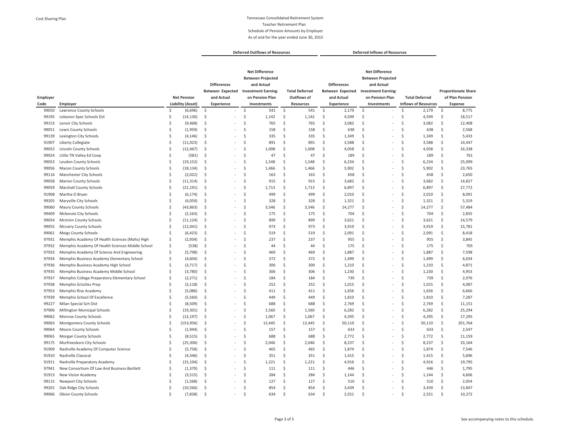99201

99066

Oak Ridge City Schools

Obion County Schools

#### Tennessee Consolidated Retirement System **Teacher Retirement Plan** Schedule of Pension Amounts by Employer As of and for the year ended June 30, 2015

**Deferred Inflows of Resources** 

**Deferred Outflows of Resources** 

**Net Difference Net Difference Between Projected Between Projected Differences** and Actual **Differences** and Actual Between Expected Investment Earning **Total Deferred** Between Expected **Investment Earnings Proportionate Share** Outflows of Employer **Net Pension** and Actual on Pension Plan and Actual on Pension Plan **Total Deferred** of Plan Pension Code Employer **Liability (Asset)** Experience Investments Resources Experience Investments **Inflows of Resources** Expense  $2,179$ 99050 Lawrence County Schools  $(6.696)$  $\mathsf{S}$  $\mathsf{S}$ 541  $\ddot{\mathsf{S}}$ 541  $\mathsf{S}$ 2,179  $\mathsf{S}$  $\mathsf{S}$ 8.775 Ŝ. S. 99195 Lebanon Spec Schools Dst Ŝ.  $(14, 130)$ Ś <sub>S</sub> 1,142 S. 1,142  $\zeta$ 4,599  $\mathsf{S}$  $\mathsf{S}$ 4,599 Ś 18,517 99153 Lenoir City Schools  $\zeta$  $\zeta$ 765 765  $\zeta$ 3.082  $\zeta$  $\zeta$ 3.082  $\zeta$ 12 408  $\zeta$  $(9.468)$  $\zeta$ 99051 Lewis County Schools Ŝ.  $(1,959)$ <sup>S</sup> S. 158 S. 158 S. 638 S. <sup>S</sup> 638  $\zeta$ 2,568 99139 Lexington City Schools  $(4, 146)$  $\dot{\mathsf{S}}$ <sub>S</sub> 335  $\zeta$ 335  $\zeta$ 1,349  $\mathsf{S}$ Ś 1,349  $\ddot{\varsigma}$ 5,433 Ŝ. 91907 Liberty Collegiate 891 891  $\zeta$ 3588  $\zeta$ 3,588  $\leq$ Ŝ.  $(11.023)$ <sup>S</sup>  $\leq$  $\zeta$  $\zeta$ 14 447 99052 **Lincoln County Schools** Ŝ.  $(12.467)$ Ś <sub>S</sub> 1.008 S. 1.008 <sup>S</sup> 4.058 S. Ŝ. 4.058  $\dot{\mathsf{S}}$ 16.338 47 47 99924 Little TN Valley Ed Coop  $\zeta$  $\zeta$  $\zeta$  $\zeta$ 189  $\zeta$  $\zeta$ 189  $\zeta$  $(581)$  $\zeta$ 761 99053 Loudon County Schools  $\mathsf{\hat{S}}$  $(19, 152)$  $\zeta$  $\ddot{\mathsf{S}}$ 1,548  $\zeta$ 1,548  $\zeta$ 6,234  $\mathsf{S}$ Ś 6,234  $\zeta$ 25,099 99056 **Macon County Schools**  $(18.134)$  $\mathsf{S}$  $\mathsf{S}$ 1.466 1.466 5.902 5.902  $\mathsf{S}$ 23.765 S. a. S. S.  $\zeta$ <sup>S</sup>  $(2,022)$ 163 163 658 99116 Manchester City Schools S. S. ÷  $\leq$  $\zeta$  $\leq$  $\zeta$ Ŝ. 658  $\mathsf{S}$ 2.650 99058 Marion County Schools  $\zeta$  $(11, 314)$ Ś Ś 915  $\mathsf{\hat{S}}$ 915  $\dot{\mathsf{S}}$ 3.682  $\dot{\mathsf{S}}$ Ś 3.682  $\dot{\mathsf{S}}$ 14,827 **Marshall County Schools** 1 7 1 3 1 7 1 3 6.897  $\leq$ 99059 S.  $(21.191)$  $\zeta$  $\leq$  $\zeta$  $\leq$  $\zeta$  $\zeta$ 6.897 27.772 91908 Martha O Bryan  $(6, 174)$  $\mathsf{S}$  $\mathsf{S}$ 499 499  $\zeta$ 2,010 Ś 2,010  $\zeta$ 8,091 Ŝ.  $\zeta$ S. 99205 Marvville City Schools  $(4.059)$  $\mathsf{\hat{S}}$  $\mathsf{S}$ 328  $\mathsf{\hat{S}}$ 328  $\mathsf{S}$ 1.321  $\mathsf{S}$ Ś 1.321  $\mathsf{S}$ 5.319 Ŝ. 3,546 99060 **Maury County Schools** Ŝ.  $(43, 863)$ <sup>S</sup>  $\leq$  $\zeta$ 3546  $\leq$ 14.277  $\zeta$ Ŝ. 14.277  $\ddot{\mathsf{S}}$ 57.484 99409 Mckenzie City Schools  $\zeta$  $(2, 163)$ Ś  $\hat{\zeta}$ 175  $\zeta$ 175  $\zeta$ 704  $\zeta$  $\zeta$ 704  $\dot{\mathsf{S}}$ 2,835 3,621 Mcminn County Schools  $\mathsf{S}$  $(11.124)$  $\mathsf{S}$  $\zeta$ 899 899  $\zeta$  $\zeta$ 3.621  $\mathsf{S}$ 14.579 99054  $\zeta$  $\zeta$ **Mcnairy County Schools**  $(12, 041)$  $\dot{\mathsf{S}}$ Ś 973 973 3,919 3,919  $\zeta$ 15,781 99055 Ŝ. S. S. Ś <sup>S</sup> 99061 Meigs County Schools  $(6.423)$  $\zeta$  $\zeta$ 519 519  $\zeta$ 2.091  $\zeta$ 2.091  $\leq$ 8 4 1 8 ÷.  $\zeta$  $\leq$ Ŝ. 97931 Memphis Academy Of Health Sciences (Mahs) High Ŝ.  $(2,934)$ <sup>S</sup> S. 237  $\zeta$ 237  $\leq$ 955  $\zeta$ Ŝ. 955 S. 3,845 175 97932 Memphis Academy Of Health Sciences Middle School  $\zeta$  $(538)$  $\dot{\mathsf{S}}$  $\hat{\zeta}$  $44$  $\zeta$  $44$  $\zeta$  $\hat{\zeta}$  $\ddot{\varsigma}$ 175  $\zeta$ 705 Memphis Academy Of Science And Engineering  $\zeta$  $(5,798)$ 469 469 1887 1887  $\zeta$ 97933 <sup>S</sup>  $\leq$  $\zeta$  $\leq$  $\zeta$  $\zeta$ 7.598 Memphis Business Academy Elementary School  $(4,604)$ 372 372 1.499 1,499  $\zeta$ 97934 Ŝ. <sup>S</sup> <sub>S</sub> S. S. S. <sup>S</sup> 6.034 Memphis Business Academy High School  $(3717)$  $\zeta$ 300  $300$  $\zeta$ 1.210  $\zeta$ 1 210  $\leq$ 4871 97936  $\zeta$  $\leq$  $\zeta$  $\zeta$ 97935 Memphis Business Academy Middle School  $\mathsf{\hat{S}}$  $(3,780)$  $\mathsf{\hat{S}}$  $\zeta$ 306  $\zeta$ 306  $\zeta$ 1,230  $\zeta$ Ś 1,230  $\dot{\mathsf{S}}$ 4,953 97937 Memphis College Preparatory Elementary School S.  $(2.271)$  $\mathsf{\hat{S}}$  $\hat{\zeta}$ 184  $\zeta$ 184  $\mathsf{S}$ 739  $\zeta$  $\zeta$ 739  $\mathsf{S}$ 2.976 252 252 1 0 1 5 97938 Memphis Grizzlies Prep Ŝ.  $(3.118)$ S.  $\zeta$  $\leq$ S.  $\zeta$  $\zeta$ 1.015 S. 4.087 97953 Memphis Rise Academy  $\mathsf{\hat{S}}$  $(5,086)$  $\dot{\mathsf{S}}$ <sub>S</sub> 411  $\mathsf{\hat{S}}$ 411  $\mathsf{S}$ 1,656  $\mathsf{S}$ Ś 1,656  $\zeta$ 6,666 Memphis School Of Excellence  $(5.560)$ 449 449 1810  $\zeta$ 1810 97939 S. <sup>S</sup> ÷  $\leq$  $\zeta$  $\leq$  $\zeta$  $\leq$ 7.287 99227 Milan Special Sch Dist  $\mathsf{S}$  $(8, 509)$  $\dot{\mathsf{S}}$  $\hat{\zeta}$ 688 688 2,769  $\mathsf{S}$ 2,769  $\dot{\mathsf{S}}$ 11,151  $\zeta$  $\zeta$  $\zeta$ 97906 **Millington Municipal Schools**  $\mathsf{S}$  $(19.301)$  $\dot{\mathsf{S}}$  $\hat{\zeta}$ 1.560 S. 1.560  $\mathsf{S}$ 6.282  $\zeta$ Ś 6.282  $\mathsf{S}$ 25.294 99062 Monroe County Schools S.  $(13, 197)$  $\zeta$ S. 1.067 S. 1.067 S. 4 2 9 5  $\zeta$ <sup>S</sup> 4.295  $\mathsf{S}$ 17,295 99063 Montgomery County Schools  $\mathsf{S}$  $(153, 956)$  $\mathsf{\hat{S}}$ <sub>S</sub> 12,445  $\zeta$ 12,445  $\zeta$ 50,110  $\zeta$ Ś 50,110  $\ddot{\varsigma}$ 201,764 99064 Moore County Schools  $(1.944)$  $\mathsf{\hat{S}}$  $\zeta$ 157 157  $\zeta$ 633  $\zeta$  $\mathsf{\hat{S}}$ 633  $\mathsf{S}$ 2.547 Ŝ. ÷.  $\zeta$ Morgan County Schools  $(8, 515)$  $\mathsf{\hat{S}}$ <sub>S</sub> 688 688 2,772  $\mathsf{\hat{S}}$ 2,772  $\dot{\mathsf{S}}$ 11,159 99065 Ŝ.  $\zeta$ <sup>S</sup> S. 99175 Murfreesboro City Schools  $\zeta$  $(25, 306)$  $\zeta$  $\hat{\zeta}$ 2.046  $\zeta$ 2.046  $\zeta$ 8.237  $\hat{\zeta}$  $\zeta$ 8 237  $\leq$ 33 164 91909 Nashville Academy Of Computer Science Ŝ.  $(5,758)$ <sup>S</sup> S. 465 S. 465  $\zeta$ 1.874 S. <sup>S</sup> 1,874  $\zeta$ 7,546 91910 Nashville Classical  $(4, 346)$  $\dot{\mathsf{S}}$  $\ddot{\mathsf{S}}$ 351 351  $\zeta$ 1,415  $\zeta$ Ś 1,415  $\ddot{\varsigma}$ 5,696 Ŝ. ÷. S.  $(15, 104)$ 1 2 2 1 1 2 2 1  $\zeta$ 4916  $\zeta$ 4916 91911 Nashville Preparatory Academy S. <sup>S</sup> u.  $\leq$  $\zeta$  $\zeta$  $\leq$ 19795 97941 New Consortium Of Law And Business-Bartlett 111 111 446 446  $\dot{\mathsf{S}}$  $\zeta$  $(1, 370)$ Ś S.  $\zeta$ <sup>S</sup> Ś <sup>S</sup> 1.795 284 284 1.144 1.144 91913 New Vision Academy  $\zeta$  $(3, 515)$  $\zeta$  $\hat{\zeta}$  $\zeta$  $\leq$  $\zeta$  $\zeta$  $\zeta$ 4.606 99115 Newport City Schools  $\mathsf{\hat{S}}$  $(1, 568)$  $\dot{\mathsf{S}}$  $\ddot{\mathsf{S}}$ 127  $\zeta$ 127  $\zeta$ 510 <sub>S</sub> Ś 510  $\ddot{\varsigma}$ 2,054

13.847

10.272

 $\leq$ 

854  $\mathsf{S}$ 

634

 $\leq$ 

3.439  $\mathsf{S}$ 

2,551

S.

 $\mathsf{S}$ 

 $\zeta$ 

3.439  $\mathsf{S}$ 

2,551  $\ddot{\varsigma}$ 

854  $\mathsf{S}$ 

634

 $(10.566)$ 

 $(7,838)$  $\ddot{\varsigma}$ 

Ŝ.

 $\zeta$ 

 $\mathsf{S}$ 

 $\mathsf{S}$ 

 $\sim$ 

 $\sim$  $\leq$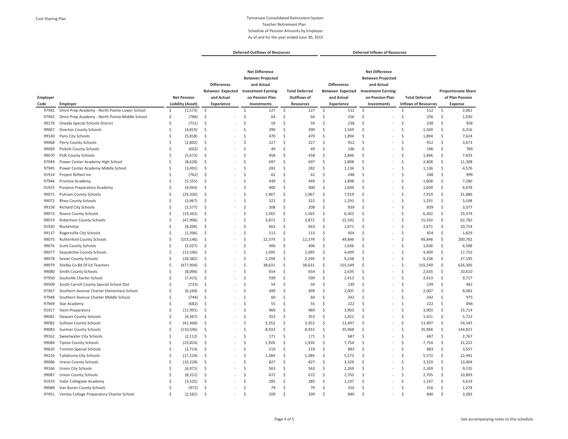**Deferred Outflows of Resources** 

Deferred Inflows of Resources

| Employer<br>Code | Employer                                       |         | <b>Net Pension</b><br><b>Liability (Asset)</b> |               | <b>Differences</b><br><b>Between Expected</b><br>and Actual<br>Experience |                              | <b>Net Difference</b><br><b>Between Projected</b><br>and Actual<br><b>Investment Earning:</b><br>on Pension Plan<br>Investments |              | <b>Total Deferred</b><br>Outflows of<br><b>Resources</b> |                    | <b>Differences</b><br><b>Between Expected</b><br>and Actual<br>Experience |                    | <b>Net Difference</b><br><b>Between Projected</b><br>and Actual<br><b>Investment Earning:</b><br>on Pension Plan<br>Investments |                    | <b>Total Deferred</b><br><b>Inflows of Resources</b> |         | <b>Proportionate Share</b><br>of Plan Pension<br><b>Expense</b> |
|------------------|------------------------------------------------|---------|------------------------------------------------|---------------|---------------------------------------------------------------------------|------------------------------|---------------------------------------------------------------------------------------------------------------------------------|--------------|----------------------------------------------------------|--------------------|---------------------------------------------------------------------------|--------------------|---------------------------------------------------------------------------------------------------------------------------------|--------------------|------------------------------------------------------|---------|-----------------------------------------------------------------|
| 97942            | Omni Prep Academy - North Pointe Lower School  | \$      | (1, 573)                                       | $\zeta$       | $\sim$                                                                    | \$                           | 127                                                                                                                             | \$           | 127                                                      | $\ddot{\varsigma}$ | 512                                                                       | $\zeta$            | ä,                                                                                                                              | \$                 | 512                                                  | $\zeta$ | 2,061                                                           |
| 97943            | Omni Prep Academy - North Pointe Middle School | \$      | (786)                                          | <sup>\$</sup> |                                                                           | Ś                            | 64                                                                                                                              | Ś            | 64                                                       | \$                 | 256                                                                       | <sub>S</sub>       |                                                                                                                                 | Ś                  | 256                                                  | \$      | 1,030                                                           |
| 99176            | Oneida Special Schools District                | \$      | (731)                                          | \$            |                                                                           | <sup>S</sup>                 | 59                                                                                                                              | Ś            | 59                                                       | \$                 | 238                                                                       | <sub>S</sub>       |                                                                                                                                 | Ś                  | 238                                                  | \$      | 958                                                             |
| 99067            | <b>Overton County Schools</b>                  | \$      | (4,819)                                        | \$            |                                                                           | Ś                            | 390                                                                                                                             | Ś            | 390                                                      | \$                 | 1,569                                                                     | \$                 |                                                                                                                                 | Ŝ.                 | 1,569                                                | \$      | 6,316                                                           |
| 99140            | Paris City Schools                             | \$      | (5, 818)                                       | \$            |                                                                           | <sup>S</sup>                 | 470                                                                                                                             | \$           | 470                                                      | \$                 | 1,894                                                                     | \$                 |                                                                                                                                 | Š.                 | 1,894                                                | \$      | 7,624                                                           |
| 99068            | Perry County Schools                           | Ś       | (2,802)                                        | Ś             |                                                                           | <sup>5</sup>                 | 227                                                                                                                             | Ś            | 227                                                      | Ś                  | 912                                                                       | <sup>5</sup>       |                                                                                                                                 | Ŝ.                 | 912                                                  | \$      | 3,673                                                           |
| 99069            | <b>Pickett County Schools</b>                  | Ś       | (602)                                          | Ś             |                                                                           | -Ś                           | 49                                                                                                                              | Ś            | 49                                                       | Ś                  | 196                                                                       | <sup>5</sup>       |                                                                                                                                 | S                  | 196                                                  | Ś       | 789                                                             |
| 99070            | Polk County Schools                            | \$      | (5,672)                                        | Ś             |                                                                           | <sup>5</sup>                 | 458                                                                                                                             | Ś            | 458                                                      | Ś                  | 1,846                                                                     | Ŝ                  |                                                                                                                                 | .S                 | 1,846                                                | \$      | 7,433                                                           |
| 97944            | Power Center Academy High School               | \$      | (8,628)                                        | Ś             |                                                                           | <sup>5</sup>                 | 697                                                                                                                             | Ś            | 697                                                      | \$                 | 2,808                                                                     | \$                 |                                                                                                                                 | ς                  | 2,808                                                | \$      | 11,308                                                          |
| 97945            | Power Center Academy Middle School             | Ś       | (3, 491)                                       | Ś             |                                                                           | <sup>5</sup>                 | 282                                                                                                                             | <sup>5</sup> | 282                                                      | Ś                  | 1,136                                                                     | Ŝ                  |                                                                                                                                 | .S                 | 1,136                                                | \$      | 4,576                                                           |
| 91914            | Project Reflect Inc                            | Ś       | (762)                                          | -Ś            |                                                                           | <sup>S</sup>                 | 62                                                                                                                              | Ś            | 62                                                       | Ś                  | 248                                                                       | Ŝ                  |                                                                                                                                 | .S                 | 248                                                  | Ś       | 999                                                             |
| 97946            | Promise Academy                                | \$      | (5, 555)                                       | Ś             |                                                                           | <sup>S</sup>                 | 449                                                                                                                             | Ś            | 449                                                      | Ś                  | 1,808                                                                     | Ŝ                  |                                                                                                                                 | .S                 | 1,808                                                | \$      | 7,280                                                           |
| 91915            | Purpose Preparatory Academy                    | \$      | (4,943)                                        | <sup>\$</sup> |                                                                           | <sup>5</sup>                 | 400                                                                                                                             | Ś            | 400                                                      | \$                 | 1,609                                                                     | \$                 |                                                                                                                                 | ς                  | 1,609                                                | \$      | 6,478                                                           |
| 99071            | <b>Putnam County Schools</b>                   | Ŝ       | (24, 330)                                      | Ś             |                                                                           | -Ś                           | 1,967                                                                                                                           | <sup>5</sup> | 1,967                                                    | Ś                  | 7,919                                                                     | \$                 |                                                                                                                                 | <sub>S</sub>       | 7,919                                                | Ś       | 31,886                                                          |
| 99072            | Rhea County Schools                            | Ś       | (3,967)                                        | Ś             |                                                                           | -Ś                           | 321                                                                                                                             | Ś            | 321                                                      | Ś                  | 1,291                                                                     | <sub>S</sub>       |                                                                                                                                 | S                  | 1,291                                                | Ś       | 5,198                                                           |
| 99158            | <b>Richard City Schools</b>                    | \$      | (2, 577)                                       | Ś             |                                                                           | <sup>S</sup>                 | 208                                                                                                                             | Ś            | 208                                                      | Ś                  | 839                                                                       | <sub>S</sub>       |                                                                                                                                 | Ś                  | 839                                                  | \$      | 3,377                                                           |
| 99073            | Roane County Schools                           | \$      | (19, 362)                                      | \$            |                                                                           | Ś                            | 1,565                                                                                                                           | Ś            | 1,565                                                    | \$                 | 6,302                                                                     | \$                 |                                                                                                                                 | .S                 | 6,302                                                | \$      | 25,374                                                          |
| 99074            | Robertson County Schools                       | \$      | (47,906)                                       | \$            |                                                                           | <sup>S</sup>                 | 3,872                                                                                                                           | Ś            | 3,872                                                    | \$                 | 15,592                                                                    | \$                 |                                                                                                                                 | <sub>S</sub>       | 15,592                                               | \$      | 62,782                                                          |
| 91920            | Rocketship                                     | \$      | (8, 206)                                       | \$            |                                                                           | <sup>S</sup>                 | 663                                                                                                                             | Ś            | 663                                                      | Ś                  | 2,671                                                                     | <sub>S</sub>       |                                                                                                                                 | Ŝ                  | 2,671                                                | \$      | 10,754                                                          |
| 99137            | Rogersville City Schools                       | \$      | (1, 396)                                       | \$            |                                                                           | <sup>S</sup>                 | 113                                                                                                                             | Ś            | 113                                                      | \$                 | 454                                                                       | <sub>S</sub>       |                                                                                                                                 | Ŝ                  | 454                                                  | \$      | 1,829                                                           |
| 99075            | <b>Rutherford County Schools</b>               | \$      | (153, 146)                                     | \$            |                                                                           | <sup>S</sup>                 | 12,379                                                                                                                          | Ś            | 12,379                                                   | \$                 | 49,846                                                                    | <sub>S</sub>       |                                                                                                                                 | Ŝ.                 | 49,846                                               | \$      | 200,702                                                         |
| 99076            | <b>Scott County Schools</b>                    | \$      | (5,027)                                        | <sup>\$</sup> |                                                                           | <sup>S</sup>                 | 406                                                                                                                             | Ś            | 406                                                      | \$                 | 1,636                                                                     | \$                 |                                                                                                                                 | Š.                 | 1,636                                                | \$      | 6,588                                                           |
| 99077            | Sequatchie County Schools                      | \$      | (13, 546)                                      | Ś             |                                                                           | <sup>5</sup>                 | 1,095                                                                                                                           | Ś            | 1,095                                                    | Ś                  | 4,409                                                                     | <sup>5</sup>       |                                                                                                                                 | .S                 | 4,409                                                | \$      | 17,752                                                          |
| 99078            | Sevier County Schools                          | Ś       | (28, 382)                                      | Ś             |                                                                           | <sup>5</sup>                 | 2,294                                                                                                                           | Ś            | 2,294                                                    | Ś                  | 9,238                                                                     | Ŝ                  |                                                                                                                                 | S                  | 9,238                                                | \$      | 37,195                                                          |
| 99079            | Shelby Co Bd Of Ed Teachers                    | Ś       | (477, 904)                                     | Ś             |                                                                           | <sup>5</sup>                 | 38,631                                                                                                                          | Ś            | 38,631                                                   | Ś                  | 155,549                                                                   | Ŝ                  |                                                                                                                                 | .S                 | 155,549                                              | \$      | 626,305                                                         |
| 99080            | Smith County Schools                           | \$      | (8,096)                                        | \$            |                                                                           | <sup>5</sup>                 | 654                                                                                                                             | <sup>5</sup> | 654                                                      | \$                 | 2,635                                                                     | \$                 |                                                                                                                                 | .S                 | 2,635                                                | \$      | 10,610                                                          |
| 97950            | Soulsville Charter School                      | \$      | (7, 415)                                       | Ś             |                                                                           | <sup>5</sup>                 | 599                                                                                                                             | Ś            | 599                                                      | Ś                  | 2,413                                                                     | <sup>5</sup>       |                                                                                                                                 | .S                 | 2,413                                                | \$      | 9,717                                                           |
| 99509            | South Carroll County Special School Dist       | Ś       | (733)                                          | Ś             |                                                                           | <sup>S</sup>                 | 59                                                                                                                              | Ś            | 59                                                       | Ś                  | 239                                                                       | Ŝ                  |                                                                                                                                 | .S                 | 239                                                  | \$      | 961                                                             |
| 97947            | Southern Avenue Charter Elementary School      | \$      | (6, 168)                                       | Ś             |                                                                           | <sup>S</sup>                 | 499                                                                                                                             | Ś            | 499                                                      | \$                 | 2,007                                                                     | <sub>S</sub>       |                                                                                                                                 | Ŝ.                 | 2,007                                                | \$      | 8,083                                                           |
| 97948            | Southern Avenue Charter Middle School          | Ś       | (744)                                          | <sup>\$</sup> |                                                                           | <sup>5</sup>                 | 60                                                                                                                              | Ŝ            | 60                                                       | Ś                  | 242                                                                       | \$                 |                                                                                                                                 | ς                  | 242                                                  | \$      | 975                                                             |
| 97949            | Star Academy                                   | Ś       | (682)                                          | -Ś            |                                                                           | -Ś                           | 55                                                                                                                              | <sup>5</sup> | 55                                                       | Ś                  | 222                                                                       | Ŝ                  |                                                                                                                                 | <sub>S</sub>       | 222                                                  | Ś       | 894                                                             |
| 91917            | <b>Stem Preparatory</b>                        | Ś       | (11,991)                                       | Ś             |                                                                           | -Ś                           | 969                                                                                                                             | Ś            | 969                                                      | Ś                  | 3,903                                                                     | <sub>S</sub>       |                                                                                                                                 | S                  | 3,903                                                | Ś       | 15,714                                                          |
| 99081            | <b>Stewart County Schools</b>                  | \$      | (4, 367)                                       | Ś             |                                                                           | Ś                            | 353                                                                                                                             | Ś            | 353                                                      | Ś                  | 1,421                                                                     | <sub>S</sub>       |                                                                                                                                 | Ŝ                  | 1,421                                                | \$      | 5,723                                                           |
| 99082            | <b>Sullivan County Schools</b>                 | \$      | (41, 468)                                      | \$            |                                                                           | Ś                            | 3,352                                                                                                                           | Ś            | 3,352                                                    | \$                 | 13,497                                                                    | \$                 |                                                                                                                                 | .S                 | 13,497                                               | \$      | 54,345                                                          |
| 99083            | <b>Sumner County Schools</b>                   | \$      | (110, 506)                                     | \$            |                                                                           | <sup>S</sup>                 | 8,933                                                                                                                           | \$           | 8,933                                                    | \$                 | 35,968                                                                    | \$                 |                                                                                                                                 | <sub>S</sub>       | 35,968                                               | \$      | 144,821                                                         |
| 99162            | Sweetwater City Schools                        | \$      | (2, 112)                                       | \$            |                                                                           | <sup>S</sup>                 | 171                                                                                                                             | Ś            | 171                                                      | \$                 | 687                                                                       | <sub>S</sub>       |                                                                                                                                 | Ŝ                  | 687                                                  | \$      | 2,767                                                           |
| 99084            | <b>Tipton County Schools</b>                   | \$      | (23, 824)                                      | \$            |                                                                           | <sup>S</sup>                 | 1,926                                                                                                                           | Ś            | 1,926                                                    | \$                 | 7,754                                                                     | Ŝ                  |                                                                                                                                 | Ś                  | 7,754                                                | \$      | 31,222                                                          |
| 99620            | <b>Trenton Special Schools</b>                 | \$      | (2,714)                                        | <sup>\$</sup> |                                                                           | Ś                            | 219                                                                                                                             | Ś            | 219                                                      | \$                 | 883                                                                       | \$                 |                                                                                                                                 | Ŝ.                 | 883                                                  | \$      | 3,557                                                           |
| 99216            | Tullahoma City Schools                         | \$      | (17, 124)                                      | <sup>\$</sup> |                                                                           | <sup>S</sup>                 | 1,384                                                                                                                           | \$           | 1,384                                                    | \$                 | 5,573                                                                     | \$                 |                                                                                                                                 | Š.                 | 5,573                                                | \$      | 22,441                                                          |
| 99086            | Unicoi County Schools                          | \$<br>Ś | (10, 228)                                      | Ś             |                                                                           | <sup>5</sup><br><sup>5</sup> | 827                                                                                                                             | Ś            | 827                                                      | Ś                  | 3,329                                                                     | \$<br><sup>5</sup> |                                                                                                                                 | Ŝ.                 | 3,329                                                | \$<br>Ś | 13,404                                                          |
| 99166            | Union City Schools                             |         | (6, 971)                                       | Ś             |                                                                           | <sup>5</sup>                 | 563                                                                                                                             | Ś            | 563                                                      | Ś                  | 2,269                                                                     |                    |                                                                                                                                 | S                  | 2,269                                                |         | 9,135                                                           |
| 99087            | <b>Union County Schools</b>                    | \$      | (8, 312)                                       | Ś<br>Ś        |                                                                           | <sup>S</sup>                 | 672                                                                                                                             | Ś<br>Ś       | 672                                                      | Ś                  | 2,705                                                                     | Ŝ                  |                                                                                                                                 | .S                 | 2,705                                                | \$      | 10,893                                                          |
| 91919            | Valor Collegiate Academy                       | \$<br>Ś | (3,525)                                        | Ś             |                                                                           | <sup>S</sup>                 | 285<br>79                                                                                                                       | <sup>5</sup> | 285<br>79                                                | \$<br>Š.           | 1,147<br>316                                                              | \$<br><sup>5</sup> |                                                                                                                                 | .S<br><sub>S</sub> | 1,147<br>316                                         | \$<br>Ś | 4,619<br>1,274                                                  |
| 99088            | Van Buren County Schools                       | Ś       | (972)<br>(2,582)                               | Ś             |                                                                           | <sup>5</sup>                 | 209                                                                                                                             | Ś            | 209                                                      | $\mathsf{S}$       | 840                                                                       | <sup>5</sup>       |                                                                                                                                 | Ŝ.                 | 840                                                  | Ś       | 3,383                                                           |
| 97951            | Veritas College Preparatory Charter School     |         |                                                |               |                                                                           |                              |                                                                                                                                 |              |                                                          |                    |                                                                           |                    |                                                                                                                                 |                    |                                                      |         |                                                                 |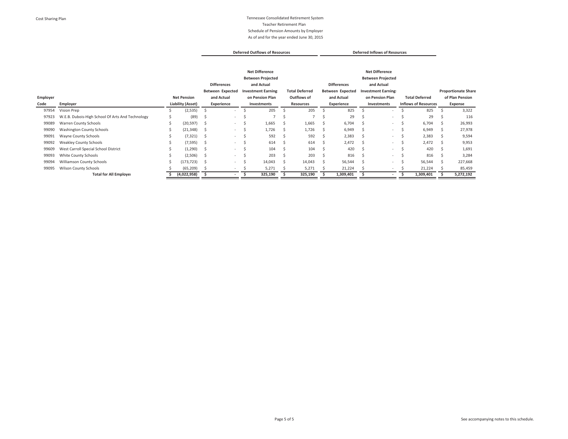|          |                                                  |                          |     |                                               | <b>Deferred Outflows of Resources</b>                                                         |                 |    | <b>Deferred Inflows of Resources</b> |   |                                               |                                                                                               |                 |                             |           |   |                            |
|----------|--------------------------------------------------|--------------------------|-----|-----------------------------------------------|-----------------------------------------------------------------------------------------------|-----------------|----|--------------------------------------|---|-----------------------------------------------|-----------------------------------------------------------------------------------------------|-----------------|-----------------------------|-----------|---|----------------------------|
|          |                                                  |                          |     | <b>Differences</b><br><b>Between Expected</b> | <b>Net Difference</b><br><b>Between Projected</b><br>and Actual<br><b>Investment Earnings</b> |                 |    | <b>Total Deferred</b>                |   | <b>Differences</b><br><b>Between Expected</b> | <b>Net Difference</b><br><b>Between Projected</b><br>and Actual<br><b>Investment Earning:</b> |                 |                             |           |   | <b>Proportionate Share</b> |
| Employer |                                                  | <b>Net Pension</b>       |     | and Actual                                    |                                                                                               | on Pension Plan |    | Outflows of                          |   | and Actual                                    |                                                                                               | on Pension Plan | <b>Total Deferred</b>       |           |   | of Plan Pension            |
| Code     | Employer                                         | <b>Liability (Asset)</b> |     | Experience                                    |                                                                                               | Investments     |    | <b>Resources</b>                     |   | Experience                                    |                                                                                               | Investments     | <b>Inflows of Resources</b> |           |   | Expense                    |
| 97954    | Vision Prep                                      | (2, 535)                 |     |                                               |                                                                                               | 205             |    | 205                                  |   | 825                                           |                                                                                               | $\sim$          |                             | 825       |   | 3,322                      |
| 97923    | W.E.B. Dubois-High School Of Arts And Technology | (89)                     | .S  | $\sim$                                        |                                                                                               |                 |    |                                      |   | 29                                            | S                                                                                             | $\sim$          |                             | 29        |   | 116                        |
| 99089    | Warren County Schools                            | (20, 597)                | -S  | $\sim$                                        | S                                                                                             | 1,665           |    | 1,665                                |   | 6,704                                         | S                                                                                             |                 |                             | 6,704     |   | 26,993                     |
| 99090    | <b>Washington County Schools</b>                 | (21, 348)                | \$. | $\sim$                                        | -S                                                                                            | 1,726           | -5 | 1,726                                | 5 | 6,949                                         | S                                                                                             |                 |                             | 6,949     | S | 27,978                     |
| 99091    | Wayne County Schools                             | (7, 321)                 | -S  | <b>COL</b>                                    |                                                                                               | 592             |    | 592                                  |   | 2,383                                         | S                                                                                             |                 |                             | 2,383     |   | 9,594                      |
| 99092    | <b>Weakley County Schools</b>                    | (7, 595)                 |     | $\sim$                                        | S                                                                                             | 614             |    | 614                                  |   | 2,472                                         | S                                                                                             |                 |                             | 2,472     |   | 9,953                      |
| 99609    | West Carroll Special School District             | (1,290)                  | -S  | н.                                            | S                                                                                             | 104             |    | 104                                  |   | 420                                           | S                                                                                             |                 |                             | 420       |   | 1,691                      |
| 99093    | White County Schools                             | (2,506)                  | -S  | ٠                                             | S                                                                                             | 203             |    | 203                                  |   | 816                                           | S                                                                                             |                 |                             | 816       |   | 3,284                      |
| 99094    | Williamson County Schools                        | (173, 723)               |     | $\sim$                                        |                                                                                               | 14,043          |    | 14,043                               |   | 56,544                                        | S                                                                                             |                 |                             | 56,544    |   | 227,668                    |
| 99095    | Wilson County Schools                            | (65, 209)                | .S  | $\sim$                                        | -S                                                                                            | 5,271           |    | 5,271                                |   | 21,224                                        | -S                                                                                            |                 |                             | 21,224    |   | 85,459                     |
|          | <b>Total for All Employer</b>                    | (4,022,958)              |     |                                               |                                                                                               | 325,190         |    | 325,190                              |   | 1,309,401                                     |                                                                                               | ۰.              |                             | 1,309,401 |   | 5,272,192                  |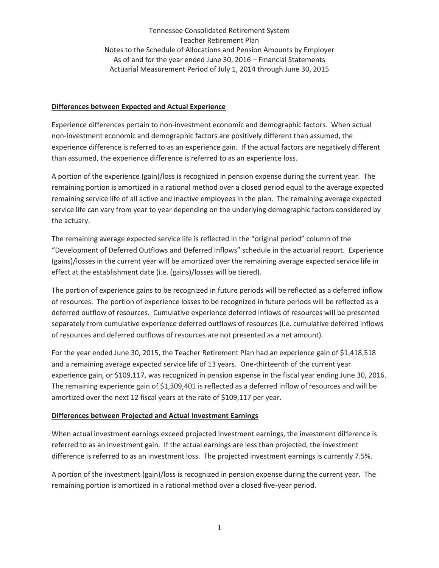Tennessee Consolidated Retirement System Teacher Retirement Plan Notes to the Schedule of Allocations and Pension Amounts by Employer As of and for the year ended June 30, 2016 – Financial Statements Actuarial Measurement Period of July 1, 2014 through June 30, 2015

### **Differences between Expected and Actual Experience**

Experience differences pertain to non-investment economic and demographic factors. When actual non-investment economic and demographic factors are positively different than assumed, the experience difference is referred to as an experience gain. If the actual factors are negatively different than assumed, the experience difference is referred to as an experience loss.

A portion of the experience (gain)/loss is recognized in pension expense during the current year. The remaining portion is amortized in a rational method over a closed period equal to the average expected remaining service life of all active and inactive employees in the plan. The remaining average expected service life can vary from year to year depending on the underlying demographic factors considered by the actuary.

The remaining average expected service life is reflected in the "original period" column of the "Development of Deferred Outflows and Deferred Inflows" schedule in the actuarial report. Experience (gains)/losses in the current year will be amortized over the remaining average expected service life in effect at the establishment date (i.e. (gains)/losses will be tiered).

The portion of experience gains to be recognized in future periods will be reflected as a deferred inflow of resources. The portion of experience losses to be recognized in future periods will be reflected as a deferred outflow of resources. Cumulative experience deferred inflows of resources will be presented separately from cumulative experience deferred outflows of resources (i.e. cumulative deferred inflows of resources and deferred outflows of resources are not presented as a net amount).

For the year ended June 30, 2015, the Teacher Retirement Plan had an experience gain of \$1,418,518 and a remaining average expected service life of 13 years. One-thirteenth of the current year experience gain, or \$109,117, was recognized in pension expense in the fiscal year ending June 30, 2016. The remaining experience gain of \$1,309,401 is reflected as a deferred inflow of resources and will be amortized over the next 12 fiscal years at the rate of \$109,117 per year.

### **Differences between Projected and Actual Investment Earnings**

When actual investment earnings exceed projected investment earnings, the investment difference is referred to as an investment gain. If the actual earnings are less than projected, the investment difference is referred to as an investment loss. The projected investment earnings is currently 7.5%.

A portion of the investment (gain)/loss is recognized in pension expense during the current year. The remaining portion is amortized in a rational method over a closed five-year period.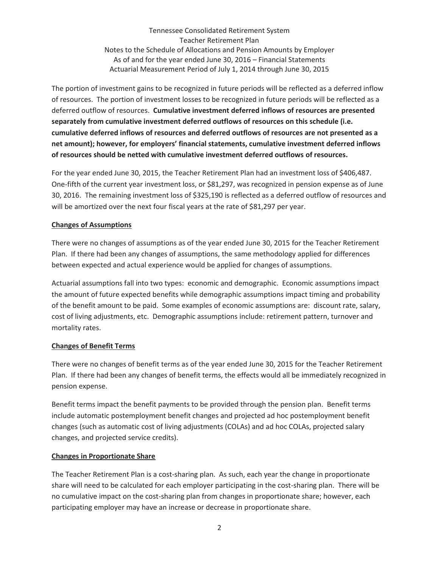Tennessee Consolidated Retirement System Teacher Retirement Plan Notes to the Schedule of Allocations and Pension Amounts by Employer As of and for the year ended June 30, 2016 – Financial Statements Actuarial Measurement Period of July 1, 2014 through June 30, 2015

The portion of investment gains to be recognized in future periods will be reflected as a deferred inflow of resources. The portion of investment losses to be recognized in future periods will be reflected as a deferred outflow of resources. **Cumulative investment deferred inflows of resources are presented separately from cumulative investment deferred outflows of resources on this schedule (i.e. cumulative deferred inflows of resources and deferred outflows of resources are not presented as a net amount); however, for employers' financial statements, cumulative investment deferred inflows of resources should be netted with cumulative investment deferred outflows of resources.**

For the year ended June 30, 2015, the Teacher Retirement Plan had an investment loss of \$406,487. One-fifth of the current year investment loss, or \$81,297, was recognized in pension expense as of June 30, 2016. The remaining investment loss of \$325,190 is reflected as a deferred outflow of resources and will be amortized over the next four fiscal years at the rate of \$81,297 per year.

### **Changes of Assumptions**

There were no changes of assumptions as of the year ended June 30, 2015 for the Teacher Retirement Plan. If there had been any changes of assumptions, the same methodology applied for differences between expected and actual experience would be applied for changes of assumptions.

Actuarial assumptions fall into two types: economic and demographic. Economic assumptions impact the amount of future expected benefits while demographic assumptions impact timing and probability of the benefit amount to be paid. Some examples of economic assumptions are: discount rate, salary, cost of living adjustments, etc. Demographic assumptions include: retirement pattern, turnover and mortality rates.

### **Changes of Benefit Terms**

There were no changes of benefit terms as of the year ended June 30, 2015 for the Teacher Retirement Plan. If there had been any changes of benefit terms, the effects would all be immediately recognized in pension expense.

Benefit terms impact the benefit payments to be provided through the pension plan. Benefit terms include automatic postemployment benefit changes and projected ad hoc postemployment benefit changes (such as automatic cost of living adjustments (COLAs) and ad hoc COLAs, projected salary changes, and projected service credits).

### **Changes in Proportionate Share**

The Teacher Retirement Plan is a cost-sharing plan. As such, each year the change in proportionate share will need to be calculated for each employer participating in the cost-sharing plan. There will be no cumulative impact on the cost-sharing plan from changes in proportionate share; however, each participating employer may have an increase or decrease in proportionate share.